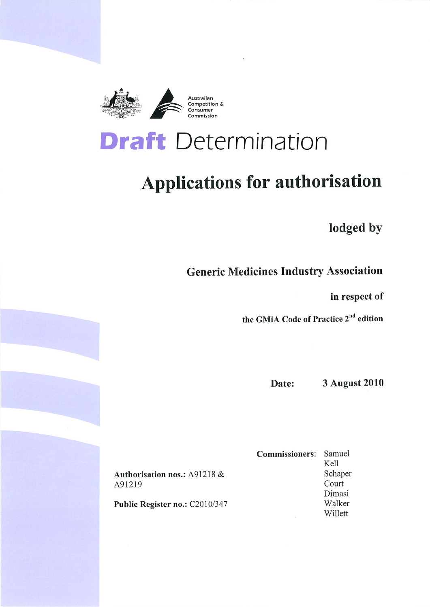

# **Draft** Determination

# **Applications for authorisation**

lodged by

**Generic Medicines Industry Association** 

in respect of

the GMIA Code of Practice 2<sup>nd</sup> edition

**3 August 2010** Date:

Authorisation nos.: A91218 & A91219

Public Register no.: C2010/347

Samuel **Commissioners:** Kell Schaper Court Dimasi Walker Willett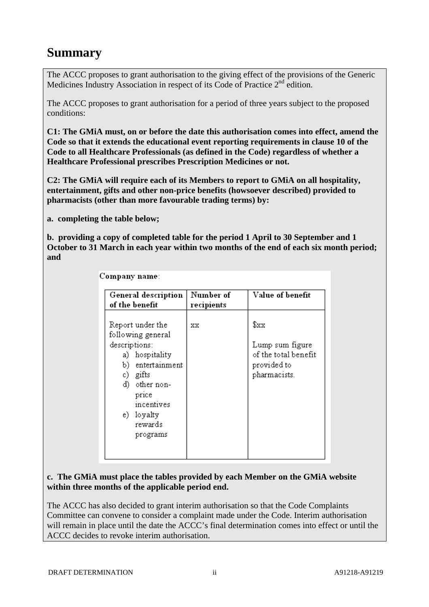# **Summary**

The ACCC proposes to grant authorisation to the giving effect of the provisions of the Generic Medicines Industry Association in respect of its Code of Practice 2<sup>nd</sup> edition.

The ACCC proposes to grant authorisation for a period of three years subject to the proposed conditions:

**C1: The GMiA must, on or before the date this authorisation comes into effect, amend the Code so that it extends the educational event reporting requirements in clause 10 of the Code to all Healthcare Professionals (as defined in the Code) regardless of whether a Healthcare Professional prescribes Prescription Medicines or not.** 

**C2: The GMiA will require each of its Members to report to GMiA on all hospitality, entertainment, gifts and other non-price benefits (howsoever described) provided to pharmacists (other than more favourable trading terms) by:** 

**a. completing the table below;** 

**b. providing a copy of completed table for the period 1 April to 30 September and 1 October to 31 March in each year within two months of the end of each six month period; and** 

Company name:

| General description<br>of the benefit                                                                                                                                                          | Number of<br>recipients | Value of benefit                                                               |
|------------------------------------------------------------------------------------------------------------------------------------------------------------------------------------------------|-------------------------|--------------------------------------------------------------------------------|
| Report under the<br>following general<br>descriptions:<br>a) hospitality<br>entertainment<br>b).<br>c) gifts<br>d) other non-<br>price<br>incentives<br>loyalty<br>e) -<br>rewards<br>programs | XX                      | \$xx<br>Lump sum figure<br>of the total benefit<br>provided to<br>pharmacists. |

#### **c. The GMiA must place the tables provided by each Member on the GMiA website within three months of the applicable period end.**

The ACCC has also decided to grant interim authorisation so that the Code Complaints Committee can convene to consider a complaint made under the Code. Interim authorisation will remain in place until the date the ACCC's final determination comes into effect or until the ACCC decides to revoke interim authorisation.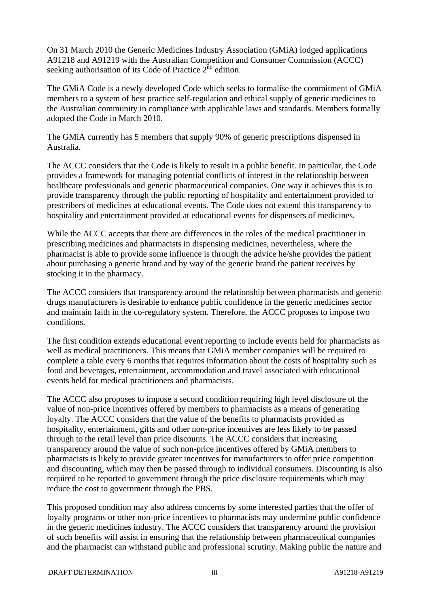On 31 March 2010 the Generic Medicines Industry Association (GMiA) lodged applications A91218 and A91219 with the Australian Competition and Consumer Commission (ACCC) seeking authorisation of its Code of Practice  $2<sup>nd</sup>$  edition.

The GMiA Code is a newly developed Code which seeks to formalise the commitment of GMiA members to a system of best practice self-regulation and ethical supply of generic medicines to the Australian community in compliance with applicable laws and standards. Members formally adopted the Code in March 2010.

The GMiA currently has 5 members that supply 90% of generic prescriptions dispensed in Australia.

The ACCC considers that the Code is likely to result in a public benefit. In particular, the Code provides a framework for managing potential conflicts of interest in the relationship between healthcare professionals and generic pharmaceutical companies. One way it achieves this is to provide transparency through the public reporting of hospitality and entertainment provided to prescribers of medicines at educational events. The Code does not extend this transparency to hospitality and entertainment provided at educational events for dispensers of medicines.

While the ACCC accepts that there are differences in the roles of the medical practitioner in prescribing medicines and pharmacists in dispensing medicines, nevertheless, where the pharmacist is able to provide some influence is through the advice he/she provides the patient about purchasing a generic brand and by way of the generic brand the patient receives by stocking it in the pharmacy.

The ACCC considers that transparency around the relationship between pharmacists and generic drugs manufacturers is desirable to enhance public confidence in the generic medicines sector and maintain faith in the co-regulatory system. Therefore, the ACCC proposes to impose two conditions.

The first condition extends educational event reporting to include events held for pharmacists as well as medical practitioners. This means that GMiA member companies will be required to complete a table every 6 months that requires information about the costs of hospitality such as food and beverages, entertainment, accommodation and travel associated with educational events held for medical practitioners and pharmacists.

The ACCC also proposes to impose a second condition requiring high level disclosure of the value of non-price incentives offered by members to pharmacists as a means of generating loyalty. The ACCC considers that the value of the benefits to pharmacists provided as hospitality, entertainment, gifts and other non-price incentives are less likely to be passed through to the retail level than price discounts. The ACCC considers that increasing transparency around the value of such non-price incentives offered by GMiA members to pharmacists is likely to provide greater incentives for manufacturers to offer price competition and discounting, which may then be passed through to individual consumers. Discounting is also required to be reported to government through the price disclosure requirements which may reduce the cost to government through the PBS.

This proposed condition may also address concerns by some interested parties that the offer of loyalty programs or other non-price incentives to pharmacists may undermine public confidence in the generic medicines industry. The ACCC considers that transparency around the provision of such benefits will assist in ensuring that the relationship between pharmaceutical companies and the pharmacist can withstand public and professional scrutiny. Making public the nature and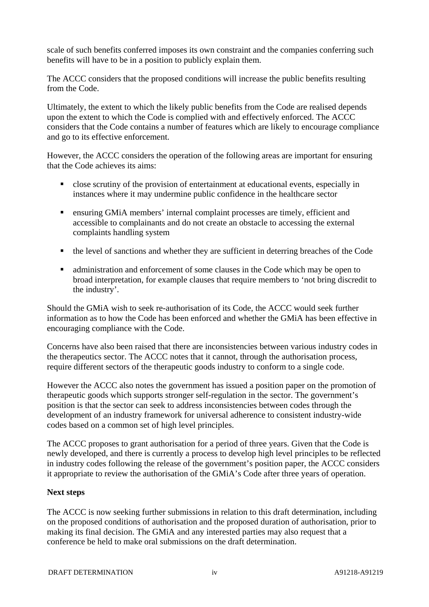scale of such benefits conferred imposes its own constraint and the companies conferring such benefits will have to be in a position to publicly explain them.

The ACCC considers that the proposed conditions will increase the public benefits resulting from the Code.

Ultimately, the extent to which the likely public benefits from the Code are realised depends upon the extent to which the Code is complied with and effectively enforced. The ACCC considers that the Code contains a number of features which are likely to encourage compliance and go to its effective enforcement.

However, the ACCC considers the operation of the following areas are important for ensuring that the Code achieves its aims:

- close scrutiny of the provision of entertainment at educational events, especially in instances where it may undermine public confidence in the healthcare sector
- ensuring GMiA members' internal complaint processes are timely, efficient and accessible to complainants and do not create an obstacle to accessing the external complaints handling system
- the level of sanctions and whether they are sufficient in deterring breaches of the Code
- administration and enforcement of some clauses in the Code which may be open to broad interpretation, for example clauses that require members to 'not bring discredit to the industry'.

Should the GMiA wish to seek re-authorisation of its Code, the ACCC would seek further information as to how the Code has been enforced and whether the GMiA has been effective in encouraging compliance with the Code.

Concerns have also been raised that there are inconsistencies between various industry codes in the therapeutics sector. The ACCC notes that it cannot, through the authorisation process, require different sectors of the therapeutic goods industry to conform to a single code.

However the ACCC also notes the government has issued a position paper on the promotion of therapeutic goods which supports stronger self-regulation in the sector. The government's position is that the sector can seek to address inconsistencies between codes through the development of an industry framework for universal adherence to consistent industry-wide codes based on a common set of high level principles.

The ACCC proposes to grant authorisation for a period of three years. Given that the Code is newly developed, and there is currently a process to develop high level principles to be reflected in industry codes following the release of the government's position paper, the ACCC considers it appropriate to review the authorisation of the GMiA's Code after three years of operation.

#### **Next steps**

The ACCC is now seeking further submissions in relation to this draft determination, including on the proposed conditions of authorisation and the proposed duration of authorisation, prior to making its final decision. The GMiA and any interested parties may also request that a conference be held to make oral submissions on the draft determination.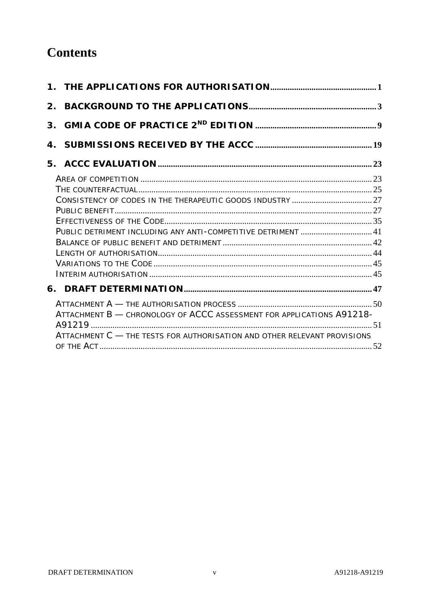# **Contents**

| 2. |                                                                                                                                                   |  |
|----|---------------------------------------------------------------------------------------------------------------------------------------------------|--|
|    |                                                                                                                                                   |  |
|    |                                                                                                                                                   |  |
|    |                                                                                                                                                   |  |
|    |                                                                                                                                                   |  |
|    |                                                                                                                                                   |  |
|    | ATTACHMENT B - CHRONOLOGY OF ACCC ASSESSMENT FOR APPLICATIONS A91218-<br>ATTACHMENT C - THE TESTS FOR AUTHORISATION AND OTHER RELEVANT PROVISIONS |  |
|    |                                                                                                                                                   |  |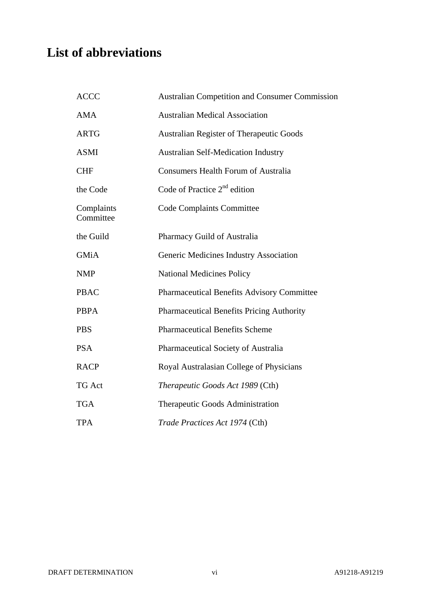# **List of abbreviations**

| <b>ACCC</b>             | <b>Australian Competition and Consumer Commission</b> |
|-------------------------|-------------------------------------------------------|
| <b>AMA</b>              | <b>Australian Medical Association</b>                 |
| <b>ARTG</b>             | <b>Australian Register of Therapeutic Goods</b>       |
| <b>ASMI</b>             | <b>Australian Self-Medication Industry</b>            |
| <b>CHF</b>              | <b>Consumers Health Forum of Australia</b>            |
| the Code                | Code of Practice $2nd$ edition                        |
| Complaints<br>Committee | <b>Code Complaints Committee</b>                      |
| the Guild               | Pharmacy Guild of Australia                           |
| <b>GMiA</b>             | Generic Medicines Industry Association                |
| <b>NMP</b>              | <b>National Medicines Policy</b>                      |
| <b>PBAC</b>             | <b>Pharmaceutical Benefits Advisory Committee</b>     |
| <b>PBPA</b>             | <b>Pharmaceutical Benefits Pricing Authority</b>      |
| <b>PBS</b>              | <b>Pharmaceutical Benefits Scheme</b>                 |
| <b>PSA</b>              | Pharmaceutical Society of Australia                   |
| <b>RACP</b>             | Royal Australasian College of Physicians              |
| <b>TG Act</b>           | Therapeutic Goods Act 1989 (Cth)                      |
| <b>TGA</b>              | Therapeutic Goods Administration                      |
| <b>TPA</b>              | Trade Practices Act 1974 (Cth)                        |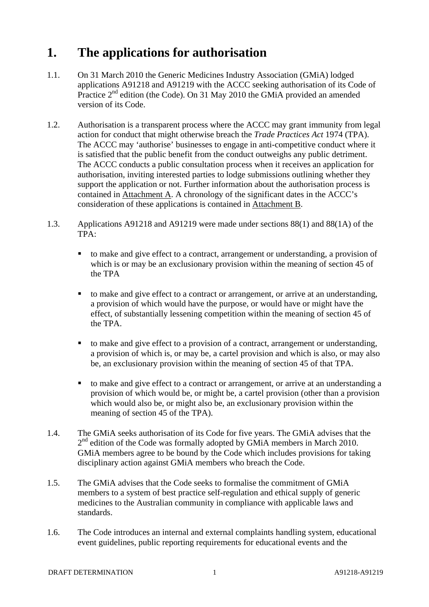# **1. The applications for authorisation**

- 1.1. On 31 March 2010 the Generic Medicines Industry Association (GMiA) lodged applications A91218 and A91219 with the ACCC seeking authorisation of its Code of Practice  $2<sup>nd</sup>$  edition (the Code). On 31 May 2010 the GMIA provided an amended version of its Code.
- 1.2. Authorisation is a transparent process where the ACCC may grant immunity from legal action for conduct that might otherwise breach the *Trade Practices Act* 1974 (TPA). The ACCC may 'authorise' businesses to engage in anti-competitive conduct where it is satisfied that the public benefit from the conduct outweighs any public detriment. The ACCC conducts a public consultation process when it receives an application for authorisation, inviting interested parties to lodge submissions outlining whether they support the application or not. Further information about the authorisation process is contained in Attachment A. A chronology of the significant dates in the ACCC's consideration of these applications is contained in Attachment B.
- 1.3. Applications A91218 and A91219 were made under sections 88(1) and 88(1A) of the  $TPA$ 
	- to make and give effect to a contract, arrangement or understanding, a provision of which is or may be an exclusionary provision within the meaning of section 45 of the TPA
	- to make and give effect to a contract or arrangement, or arrive at an understanding, a provision of which would have the purpose, or would have or might have the effect, of substantially lessening competition within the meaning of section 45 of the TPA.
	- to make and give effect to a provision of a contract, arrangement or understanding, a provision of which is, or may be, a cartel provision and which is also, or may also be, an exclusionary provision within the meaning of section 45 of that TPA.
	- to make and give effect to a contract or arrangement, or arrive at an understanding a provision of which would be, or might be, a cartel provision (other than a provision which would also be, or might also be, an exclusionary provision within the meaning of section 45 of the TPA).
- 1.4. The GMiA seeks authorisation of its Code for five years. The GMiA advises that the  $2<sup>nd</sup>$  edition of the Code was formally adopted by GMiA members in March 2010. GMiA members agree to be bound by the Code which includes provisions for taking disciplinary action against GMiA members who breach the Code.
- 1.5. The GMiA advises that the Code seeks to formalise the commitment of GMiA members to a system of best practice self-regulation and ethical supply of generic medicines to the Australian community in compliance with applicable laws and standards.
- 1.6. The Code introduces an internal and external complaints handling system, educational event guidelines, public reporting requirements for educational events and the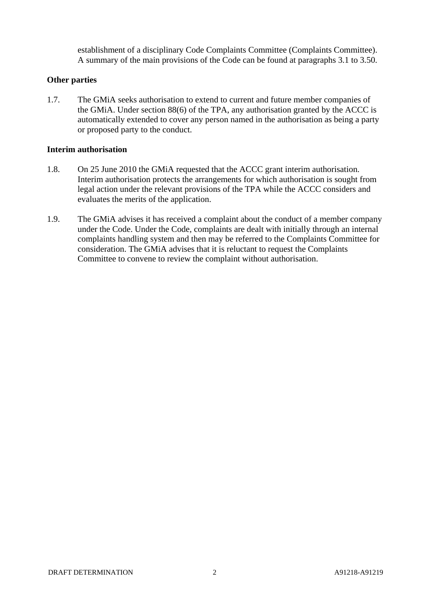establishment of a disciplinary Code Complaints Committee (Complaints Committee). A summary of the main provisions of the Code can be found at paragraphs 3.1 to 3.50.

#### **Other parties**

1.7. The GMiA seeks authorisation to extend to current and future member companies of the GMiA. Under section 88(6) of the TPA, any authorisation granted by the ACCC is automatically extended to cover any person named in the authorisation as being a party or proposed party to the conduct.

#### **Interim authorisation**

- 1.8. On 25 June 2010 the GMiA requested that the ACCC grant interim authorisation. Interim authorisation protects the arrangements for which authorisation is sought from legal action under the relevant provisions of the TPA while the ACCC considers and evaluates the merits of the application.
- 1.9. The GMiA advises it has received a complaint about the conduct of a member company under the Code. Under the Code, complaints are dealt with initially through an internal complaints handling system and then may be referred to the Complaints Committee for consideration. The GMiA advises that it is reluctant to request the Complaints Committee to convene to review the complaint without authorisation.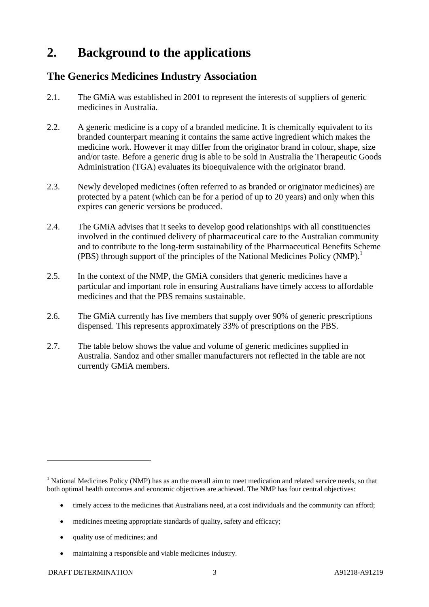# **2. Background to the applications**

# **The Generics Medicines Industry Association**

- 2.1. The GMiA was established in 2001 to represent the interests of suppliers of generic medicines in Australia.
- 2.2. A generic medicine is a copy of a branded medicine. It is chemically equivalent to its branded counterpart meaning it contains the same active ingredient which makes the medicine work. However it may differ from the originator brand in colour, shape, size and/or taste. Before a generic drug is able to be sold in Australia the Therapeutic Goods Administration (TGA) evaluates its bioequivalence with the originator brand.
- 2.3. Newly developed medicines (often referred to as branded or originator medicines) are protected by a patent (which can be for a period of up to 20 years) and only when this expires can generic versions be produced.
- 2.4. The GMiA advises that it seeks to develop good relationships with all constituencies involved in the continued delivery of pharmaceutical care to the Australian community and to contribute to the long-term sustainability of the Pharmaceutical Benefits Scheme (PBS) through support of the principles of the National Medicines Policy (NMP).<sup>1</sup>
- 2.5. In the context of the NMP, the GMiA considers that generic medicines have a particular and important role in ensuring Australians have timely access to affordable medicines and that the PBS remains sustainable.
- 2.6. The GMiA currently has five members that supply over 90% of generic prescriptions dispensed. This represents approximately 33% of prescriptions on the PBS.
- 2.7. The table below shows the value and volume of generic medicines supplied in Australia. Sandoz and other smaller manufacturers not reflected in the table are not currently GMiA members.

- timely access to the medicines that Australians need, at a cost individuals and the community can afford;
- medicines meeting appropriate standards of quality, safety and efficacy;
- quality use of medicines; and
- maintaining a responsible and viable medicines industry.

<sup>&</sup>lt;sup>1</sup> National Medicines Policy (NMP) has as an the overall aim to meet medication and related service needs, so that both optimal health outcomes and economic objectives are achieved. The NMP has four central objectives: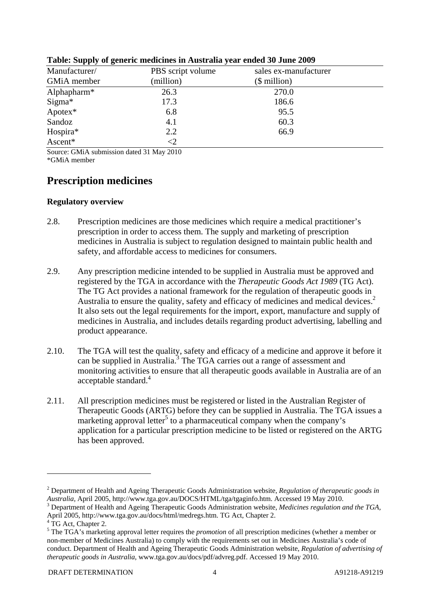| Manufacturer/           | PBS script volume | sales ex-manufacturer |
|-------------------------|-------------------|-----------------------|
| GMiA member             | (million)         | $$$ million)          |
| Alphapharm <sup>*</sup> | 26.3              | 270.0                 |
| Sigma*                  | 17.3              | 186.6                 |
| $A$ potex $*$           | 6.8               | 95.5                  |
| Sandoz                  | 4.1               | 60.3                  |
| Hospira*                | 2.2               | 66.9                  |
| Ascent*                 | ${<}2$            |                       |

#### **Table: Supply of generic medicines in Australia year ended 30 June 2009**

Source: GMiA submission dated 31 May 2010

\*GMiA member

# **Prescription medicines**

#### **Regulatory overview**

- 2.8. Prescription medicines are those medicines which require a medical practitioner's prescription in order to access them. The supply and marketing of prescription medicines in Australia is subject to regulation designed to maintain public health and safety, and affordable access to medicines for consumers.
- 2.9. Any prescription medicine intended to be supplied in Australia must be approved and registered by the TGA in accordance with the *Therapeutic Goods Act 1989* (TG Act). The TG Act provides a national framework for the regulation of therapeutic goods in Australia to ensure the quality, safety and efficacy of medicines and medical devices.<sup>2</sup> It also sets out the legal requirements for the import, export, manufacture and supply of medicines in Australia, and includes details regarding product advertising, labelling and product appearance.
- 2.10. The TGA will test the quality, safety and efficacy of a medicine and approve it before it can be supplied in Australia.<sup>3</sup> The TGA carries out a range of assessment and monitoring activities to ensure that all therapeutic goods available in Australia are of an acceptable standard.<sup>4</sup>
- 2.11. All prescription medicines must be registered or listed in the Australian Register of Therapeutic Goods (ARTG) before they can be supplied in Australia. The TGA issues a marketing approval letter<sup>5</sup> to a pharmaceutical company when the company's application for a particular prescription medicine to be listed or registered on the ARTG has been approved.

<sup>2</sup> Department of Health and Ageing Therapeutic Goods Administration website, *Regulation of therapeutic goods in Australia,* April 2005, http://www.tga.gov.au/DOCS/HTML/tga/tgaginfo.htm. Accessed 19 May 2010. 3

Department of Health and Ageing Therapeutic Goods Administration website, *Medicines regulation and the TGA,*  April 2005, http://www.tga.gov.au/docs/html/medregs.htm. TG Act, Chapter 2.

<sup>&</sup>lt;sup>4</sup> TG Act, Chapter 2.

<sup>5</sup> The TGA's marketing approval letter requires the *promotion* of all prescription medicines (whether a member or non-member of Medicines Australia) to comply with the requirements set out in Medicines Australia's code of conduct. Department of Health and Ageing Therapeutic Goods Administration website, *Regulation of advertising of therapeutic goods in Australia*, www.tga.gov.au/docs/pdf/advreg.pdf. Accessed 19 May 2010.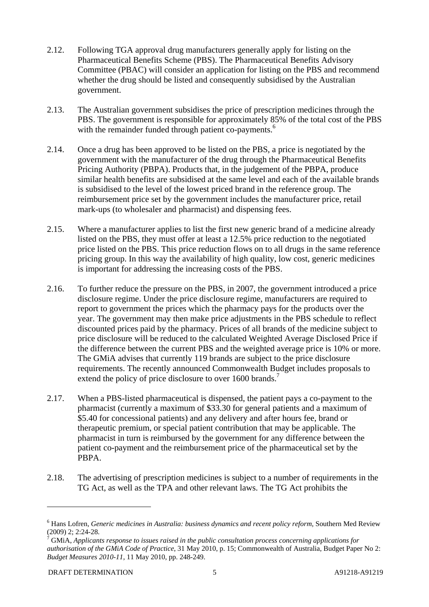- 2.12. Following TGA approval drug manufacturers generally apply for listing on the Pharmaceutical Benefits Scheme (PBS). The Pharmaceutical Benefits Advisory Committee (PBAC) will consider an application for listing on the PBS and recommend whether the drug should be listed and consequently subsidised by the Australian government.
- 2.13. The Australian government subsidises the price of prescription medicines through the PBS. The government is responsible for approximately 85% of the total cost of the PBS with the remainder funded through patient co-payments.<sup>6</sup>
- 2.14. Once a drug has been approved to be listed on the PBS, a price is negotiated by the government with the manufacturer of the drug through the Pharmaceutical Benefits Pricing Authority (PBPA). Products that, in the judgement of the PBPA, produce similar health benefits are subsidised at the same level and each of the available brands is subsidised to the level of the lowest priced brand in the reference group. The reimbursement price set by the government includes the manufacturer price, retail mark-ups (to wholesaler and pharmacist) and dispensing fees.
- 2.15. Where a manufacturer applies to list the first new generic brand of a medicine already listed on the PBS, they must offer at least a 12.5% price reduction to the negotiated price listed on the PBS. This price reduction flows on to all drugs in the same reference pricing group. In this way the availability of high quality, low cost, generic medicines is important for addressing the increasing costs of the PBS.
- 2.16. To further reduce the pressure on the PBS, in 2007, the government introduced a price disclosure regime. Under the price disclosure regime, manufacturers are required to report to government the prices which the pharmacy pays for the products over the year. The government may then make price adjustments in the PBS schedule to reflect discounted prices paid by the pharmacy. Prices of all brands of the medicine subject to price disclosure will be reduced to the calculated Weighted Average Disclosed Price if the difference between the current PBS and the weighted average price is 10% or more. The GMiA advises that currently 119 brands are subject to the price disclosure requirements. The recently announced Commonwealth Budget includes proposals to extend the policy of price disclosure to over 1600 brands.<sup>7</sup>
- 2.17. When a PBS-listed pharmaceutical is dispensed, the patient pays a co-payment to the pharmacist (currently a maximum of \$33.30 for general patients and a maximum of \$5.40 for concessional patients) and any delivery and after hours fee, brand or therapeutic premium, or special patient contribution that may be applicable. The pharmacist in turn is reimbursed by the government for any difference between the patient co-payment and the reimbursement price of the pharmaceutical set by the PBPA.
- 2.18. The advertising of prescription medicines is subject to a number of requirements in the TG Act, as well as the TPA and other relevant laws. The TG Act prohibits the

<sup>6</sup> Hans Lofren, *Generic medicines in Australia: business dynamics and recent policy reform*, Southern Med Review  $(2009)$  2; 2:24-28.

GMiA, *Applicants response to issues raised in the public consultation process concerning applications for authorisation of the GMiA Code of Practice*, 31 May 2010, p. 15; Commonwealth of Australia, Budget Paper No 2: *Budget Measures 2010-11*, 11 May 2010, pp. 248-249.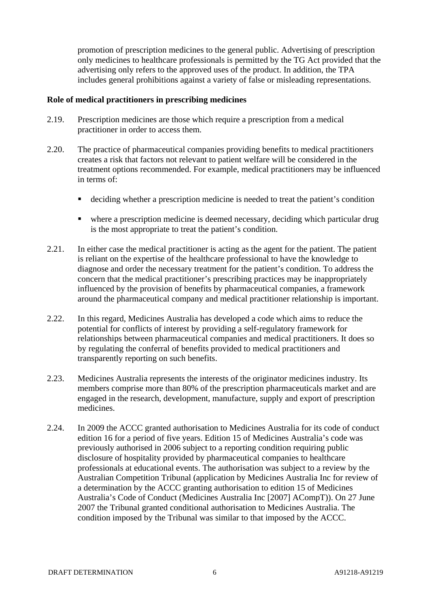promotion of prescription medicines to the general public. Advertising of prescription only medicines to healthcare professionals is permitted by the TG Act provided that the advertising only refers to the approved uses of the product. In addition, the TPA includes general prohibitions against a variety of false or misleading representations.

#### **Role of medical practitioners in prescribing medicines**

- 2.19. Prescription medicines are those which require a prescription from a medical practitioner in order to access them.
- 2.20. The practice of pharmaceutical companies providing benefits to medical practitioners creates a risk that factors not relevant to patient welfare will be considered in the treatment options recommended. For example, medical practitioners may be influenced in terms of:
	- deciding whether a prescription medicine is needed to treat the patient's condition
	- where a prescription medicine is deemed necessary, deciding which particular drug is the most appropriate to treat the patient's condition.
- 2.21. In either case the medical practitioner is acting as the agent for the patient. The patient is reliant on the expertise of the healthcare professional to have the knowledge to diagnose and order the necessary treatment for the patient's condition. To address the concern that the medical practitioner's prescribing practices may be inappropriately influenced by the provision of benefits by pharmaceutical companies, a framework around the pharmaceutical company and medical practitioner relationship is important.
- 2.22. In this regard, Medicines Australia has developed a code which aims to reduce the potential for conflicts of interest by providing a self-regulatory framework for relationships between pharmaceutical companies and medical practitioners. It does so by regulating the conferral of benefits provided to medical practitioners and transparently reporting on such benefits.
- 2.23. Medicines Australia represents the interests of the originator medicines industry. Its members comprise more than 80% of the prescription pharmaceuticals market and are engaged in the research, development, manufacture, supply and export of prescription medicines.
- 2.24. In 2009 the ACCC granted authorisation to Medicines Australia for its code of conduct edition 16 for a period of five years. Edition 15 of Medicines Australia's code was previously authorised in 2006 subject to a reporting condition requiring public disclosure of hospitality provided by pharmaceutical companies to healthcare professionals at educational events. The authorisation was subject to a review by the Australian Competition Tribunal (application by Medicines Australia Inc for review of a determination by the ACCC granting authorisation to edition 15 of Medicines Australia's Code of Conduct (Medicines Australia Inc [2007] ACompT)). On 27 June 2007 the Tribunal granted conditional authorisation to Medicines Australia. The condition imposed by the Tribunal was similar to that imposed by the ACCC.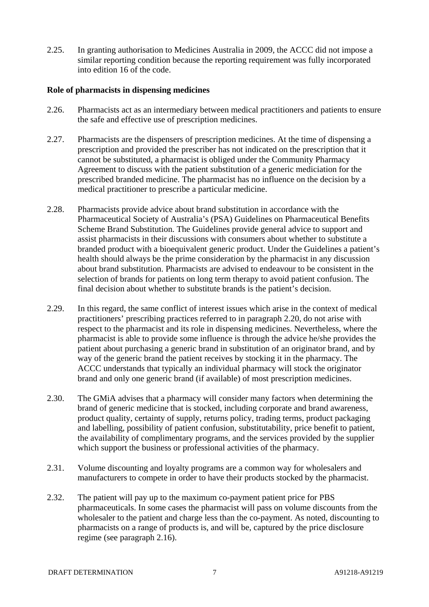2.25. In granting authorisation to Medicines Australia in 2009, the ACCC did not impose a similar reporting condition because the reporting requirement was fully incorporated into edition 16 of the code.

#### **Role of pharmacists in dispensing medicines**

- 2.26. Pharmacists act as an intermediary between medical practitioners and patients to ensure the safe and effective use of prescription medicines.
- 2.27. Pharmacists are the dispensers of prescription medicines. At the time of dispensing a prescription and provided the prescriber has not indicated on the prescription that it cannot be substituted, a pharmacist is obliged under the Community Pharmacy Agreement to discuss with the patient substitution of a generic mediciation for the prescribed branded medicine. The pharmacist has no influence on the decision by a medical practitioner to prescribe a particular medicine.
- 2.28. Pharmacists provide advice about brand substitution in accordance with the Pharmaceutical Society of Australia's (PSA) Guidelines on Pharmaceutical Benefits Scheme Brand Substitution. The Guidelines provide general advice to support and assist pharmacists in their discussions with consumers about whether to substitute a branded product with a bioequivalent generic product. Under the Guidelines a patient's health should always be the prime consideration by the pharmacist in any discussion about brand substitution. Pharmacists are advised to endeavour to be consistent in the selection of brands for patients on long term therapy to avoid patient confusion. The final decision about whether to substitute brands is the patient's decision.
- 2.29. In this regard, the same conflict of interest issues which arise in the context of medical practitioners' prescribing practices referred to in paragraph 2.20, do not arise with respect to the pharmacist and its role in dispensing medicines. Nevertheless, where the pharmacist is able to provide some influence is through the advice he/she provides the patient about purchasing a generic brand in substitution of an originator brand, and by way of the generic brand the patient receives by stocking it in the pharmacy. The ACCC understands that typically an individual pharmacy will stock the originator brand and only one generic brand (if available) of most prescription medicines.
- 2.30. The GMiA advises that a pharmacy will consider many factors when determining the brand of generic medicine that is stocked, including corporate and brand awareness, product quality, certainty of supply, returns policy, trading terms, product packaging and labelling, possibility of patient confusion, substitutability, price benefit to patient, the availability of complimentary programs, and the services provided by the supplier which support the business or professional activities of the pharmacy.
- 2.31. Volume discounting and loyalty programs are a common way for wholesalers and manufacturers to compete in order to have their products stocked by the pharmacist.
- 2.32. The patient will pay up to the maximum co-payment patient price for PBS pharmaceuticals. In some cases the pharmacist will pass on volume discounts from the wholesaler to the patient and charge less than the co-payment. As noted, discounting to pharmacists on a range of products is, and will be, captured by the price disclosure regime (see paragraph 2.16).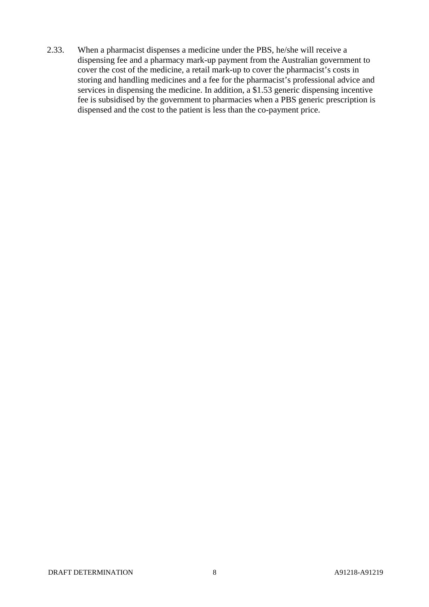2.33. When a pharmacist dispenses a medicine under the PBS, he/she will receive a dispensing fee and a pharmacy mark-up payment from the Australian government to cover the cost of the medicine, a retail mark-up to cover the pharmacist's costs in storing and handling medicines and a fee for the pharmacist's professional advice and services in dispensing the medicine. In addition, a \$1.53 generic dispensing incentive fee is subsidised by the government to pharmacies when a PBS generic prescription is dispensed and the cost to the patient is less than the co-payment price.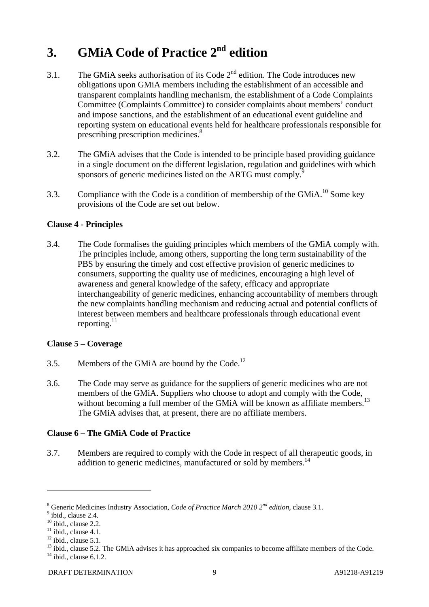# **3. GMiA Code of Practice 2nd edition**

- 3.1. The GMiA seeks authorisation of its Code  $2<sup>nd</sup>$  edition. The Code introduces new obligations upon GMiA members including the establishment of an accessible and transparent complaints handling mechanism, the establishment of a Code Complaints Committee (Complaints Committee) to consider complaints about members' conduct and impose sanctions, and the establishment of an educational event guideline and reporting system on educational events held for healthcare professionals responsible for prescribing prescription medicines.<sup>8</sup>
- 3.2. The GMiA advises that the Code is intended to be principle based providing guidance in a single document on the different legislation, regulation and guidelines with which sponsors of generic medicines listed on the ARTG must comply.<sup>9</sup>
- 3.3. Compliance with the Code is a condition of membership of the GMiA.<sup>10</sup> Some key provisions of the Code are set out below.

#### **Clause 4 - Principles**

3.4. The Code formalises the guiding principles which members of the GMiA comply with. The principles include, among others, supporting the long term sustainability of the PBS by ensuring the timely and cost effective provision of generic medicines to consumers, supporting the quality use of medicines, encouraging a high level of awareness and general knowledge of the safety, efficacy and appropriate interchangeability of generic medicines, enhancing accountability of members through the new complaints handling mechanism and reducing actual and potential conflicts of interest between members and healthcare professionals through educational event reporting. $^{11}$ 

#### **Clause 5 – Coverage**

- 3.5. Members of the GMiA are bound by the Code.<sup>12</sup>
- 3.6. The Code may serve as guidance for the suppliers of generic medicines who are not members of the GMiA. Suppliers who choose to adopt and comply with the Code, without becoming a full member of the GMiA will be known as affiliate members.<sup>13</sup> The GMiA advises that, at present, there are no affiliate members.

#### **Clause 6 – The GMiA Code of Practice**

3.7. Members are required to comply with the Code in respect of all therapeutic goods, in addition to generic medicines, manufactured or sold by members.<sup>14</sup>

<sup>&</sup>lt;sup>8</sup> Generic Medicines Industry Association, *Code of Practice March 2010 2<sup>nd</sup> edition*, clause 3.1.<br><sup>9</sup> ibid. aloves 2.4.

 $<sup>9</sup>$  ibid., clause 2.4.</sup>

 $10$  ibid., clause 2.2.

 $11$  ibid., clause 4.1.

 $12$  ibid., clause 5.1.

<sup>&</sup>lt;sup>13</sup> ibid., clause 5.2. The GMiA advises it has approached six companies to become affiliate members of the Code.  $14$  ibid., clause 6.1.2.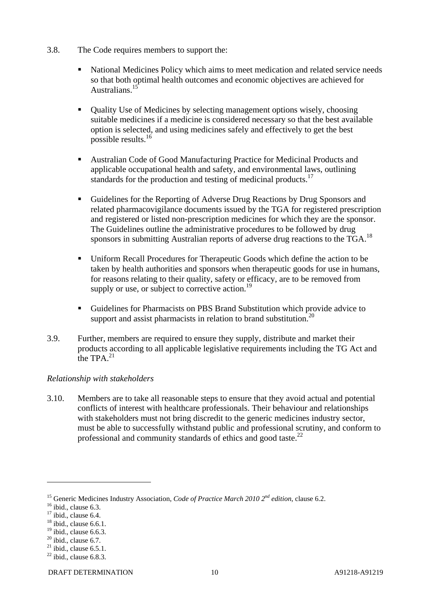- 3.8. The Code requires members to support the:
	- National Medicines Policy which aims to meet medication and related service needs so that both optimal health outcomes and economic objectives are achieved for Australians.15
	- Quality Use of Medicines by selecting management options wisely, choosing suitable medicines if a medicine is considered necessary so that the best available option is selected, and using medicines safely and effectively to get the best possible results.16
	- Australian Code of Good Manufacturing Practice for Medicinal Products and applicable occupational health and safety, and environmental laws, outlining standards for the production and testing of medicinal products.<sup>17</sup>
	- Guidelines for the Reporting of Adverse Drug Reactions by Drug Sponsors and related pharmacovigilance documents issued by the TGA for registered prescription and registered or listed non-prescription medicines for which they are the sponsor. The Guidelines outline the administrative procedures to be followed by drug sponsors in submitting Australian reports of adverse drug reactions to the TGA.<sup>18</sup>
	- Uniform Recall Procedures for Therapeutic Goods which define the action to be taken by health authorities and sponsors when therapeutic goods for use in humans, for reasons relating to their quality, safety or efficacy, are to be removed from supply or use, or subject to corrective action.<sup>19</sup>
	- Guidelines for Pharmacists on PBS Brand Substitution which provide advice to support and assist pharmacists in relation to brand substitution.<sup>20</sup>
- 3.9. Further, members are required to ensure they supply, distribute and market their products according to all applicable legislative requirements including the TG Act and the TPA  $^{21}$

#### *Relationship with stakeholders*

3.10. Members are to take all reasonable steps to ensure that they avoid actual and potential conflicts of interest with healthcare professionals. Their behaviour and relationships with stakeholders must not bring discredit to the generic medicines industry sector, must be able to successfully withstand public and professional scrutiny, and conform to professional and community standards of ethics and good taste.<sup>22</sup>

<sup>&</sup>lt;sup>15</sup> Generic Medicines Industry Association, *Code of Practice March 2010*  $2^{nd}$  *edition*, clause 6.2. <sup>16</sup> ibid., clause 6.3.

 $17$  ibid., clause 6.4.

 $18$  ibid., clause 6.6.1.

 $19$  ibid., clause 6.6.3.

 $20$  ibid., clause 6.7.

 $^{21}$  ibid., clause 6.5.1.

 $22$  ibid., clause 6.8.3.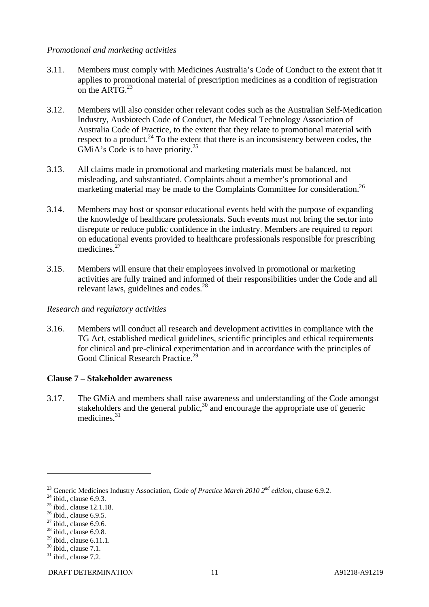#### *Promotional and marketing activities*

- 3.11. Members must comply with Medicines Australia's Code of Conduct to the extent that it applies to promotional material of prescription medicines as a condition of registration on the ART $G<sup>23</sup>$
- 3.12. Members will also consider other relevant codes such as the Australian Self-Medication Industry, Ausbiotech Code of Conduct, the Medical Technology Association of Australia Code of Practice, to the extent that they relate to promotional material with respect to a product.<sup>24</sup> To the extent that there is an inconsistency between codes, the GMiA's Code is to have priority.<sup>25</sup>
- 3.13. All claims made in promotional and marketing materials must be balanced, not misleading, and substantiated. Complaints about a member's promotional and marketing material may be made to the Complaints Committee for consideration.<sup>26</sup>
- 3.14. Members may host or sponsor educational events held with the purpose of expanding the knowledge of healthcare professionals. Such events must not bring the sector into disrepute or reduce public confidence in the industry. Members are required to report on educational events provided to healthcare professionals responsible for prescribing medicines.<sup>27</sup>
- 3.15. Members will ensure that their employees involved in promotional or marketing activities are fully trained and informed of their responsibilities under the Code and all relevant laws, guidelines and codes.<sup>28</sup>

#### *Research and regulatory activities*

3.16. Members will conduct all research and development activities in compliance with the TG Act, established medical guidelines, scientific principles and ethical requirements for clinical and pre-clinical experimentation and in accordance with the principles of Good Clinical Research Practice.<sup>29</sup>

#### **Clause 7 – Stakeholder awareness**

3.17. The GMiA and members shall raise awareness and understanding of the Code amongst stakeholders and the general public,  $30$  and encourage the appropriate use of generic medicines.<sup>31</sup>

<sup>&</sup>lt;sup>23</sup> Generic Medicines Industry Association, *Code of Practice March 2010*  $2^{nd}$  *edition*, clause 6.9.2. <sup>24</sup> ibid., clause 6.9.3.

 $25$  ibid., clause 12.1.18.

 $26$  ibid., clause 6.9.5.

 $27$  ibid., clause 6.9.6.

 $28$  ibid., clause 6.9.8.

 $^{29}$  ibid., clause 6.11.1.

 $30$  ibid., clause 7.1.

 $31$  ibid., clause 7.2.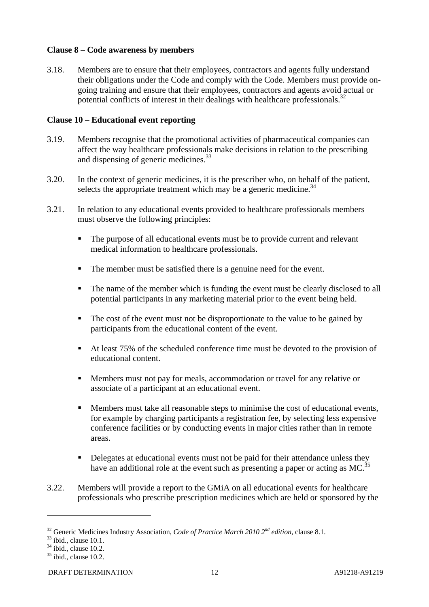#### **Clause 8 – Code awareness by members**

3.18. Members are to ensure that their employees, contractors and agents fully understand their obligations under the Code and comply with the Code. Members must provide ongoing training and ensure that their employees, contractors and agents avoid actual or potential conflicts of interest in their dealings with healthcare professionals.<sup>32</sup>

#### **Clause 10 – Educational event reporting**

- 3.19. Members recognise that the promotional activities of pharmaceutical companies can affect the way healthcare professionals make decisions in relation to the prescribing and dispensing of generic medicines.<sup>33</sup>
- 3.20. In the context of generic medicines, it is the prescriber who, on behalf of the patient, selects the appropriate treatment which may be a generic medicine.<sup>34</sup>
- 3.21. In relation to any educational events provided to healthcare professionals members must observe the following principles:
	- The purpose of all educational events must be to provide current and relevant medical information to healthcare professionals.
	- The member must be satisfied there is a genuine need for the event.
	- The name of the member which is funding the event must be clearly disclosed to all potential participants in any marketing material prior to the event being held.
	- The cost of the event must not be disproportionate to the value to be gained by participants from the educational content of the event.
	- At least 75% of the scheduled conference time must be devoted to the provision of educational content.
	- Members must not pay for meals, accommodation or travel for any relative or associate of a participant at an educational event.
	- Members must take all reasonable steps to minimise the cost of educational events, for example by charging participants a registration fee, by selecting less expensive conference facilities or by conducting events in major cities rather than in remote areas.
	- Delegates at educational events must not be paid for their attendance unless they have an additional role at the event such as presenting a paper or acting as  $MC$ <sup>35</sup>
- 3.22. Members will provide a report to the GMiA on all educational events for healthcare professionals who prescribe prescription medicines which are held or sponsored by the

<sup>&</sup>lt;sup>32</sup> Generic Medicines Industry Association, *Code of Practice March 2010*  $2^{nd}$  *edition*, clause 8.1. <sup>33</sup> ibid., clause 10.1.

 $34$  ibid., clause 10.2.

 $35$  ibid., clause 10.2.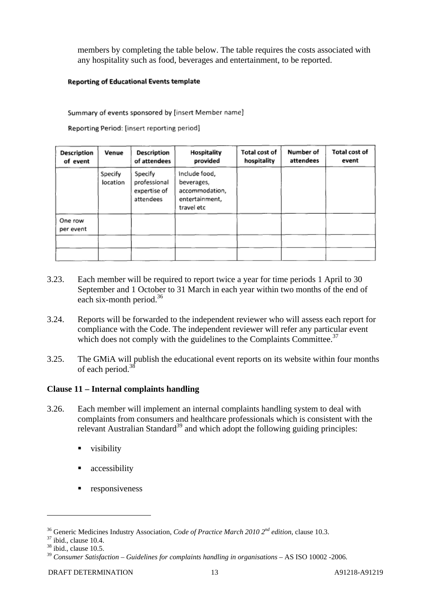members by completing the table below. The table requires the costs associated with any hospitality such as food, beverages and entertainment, to be reported.

#### **Reporting of Educational Events template**

Summary of events sponsored by [insert Member name]

Reporting Period: [insert reporting period]

| Description<br>of event | Venue               | Description<br>of attendees                          | Hospitality<br>provided                                                       | Total cost of<br>hospitality | Number of<br>attendees | Total cost of<br>event |
|-------------------------|---------------------|------------------------------------------------------|-------------------------------------------------------------------------------|------------------------------|------------------------|------------------------|
|                         | Specify<br>location | Specify<br>professional<br>expertise of<br>attendees | include food,<br>beverages,<br>accommodation,<br>entertainment,<br>travel etc |                              |                        |                        |
| One row<br>per event    |                     |                                                      |                                                                               |                              |                        |                        |

- 3.23. Each member will be required to report twice a year for time periods 1 April to 30 September and 1 October to 31 March in each year within two months of the end of each six-month period.<sup>36</sup>
- 3.24. Reports will be forwarded to the independent reviewer who will assess each report for compliance with the Code. The independent reviewer will refer any particular event which does not comply with the guidelines to the Complaints Committee.<sup>37</sup>
- 3.25. The GMiA will publish the educational event reports on its website within four months of each period.<sup>38</sup>

#### **Clause 11 – Internal complaints handling**

- 3.26. Each member will implement an internal complaints handling system to deal with complaints from consumers and healthcare professionals which is consistent with the relevant Australian Standard<sup>39</sup> and which adopt the following guiding principles:
	- visibility
	- accessibility
	- responsiveness

<sup>&</sup>lt;sup>36</sup> Generic Medicines Industry Association, *Code of Practice March 2010 2<sup>nd</sup> edition*, clause 10.3. <sup>37</sup> ibid., clause 10.4.

 $38$  ibid., clause 10.5.

<sup>39</sup> *Consumer Satisfaction – Guidelines for complaints handling in organisations* – AS ISO 10002 -2006.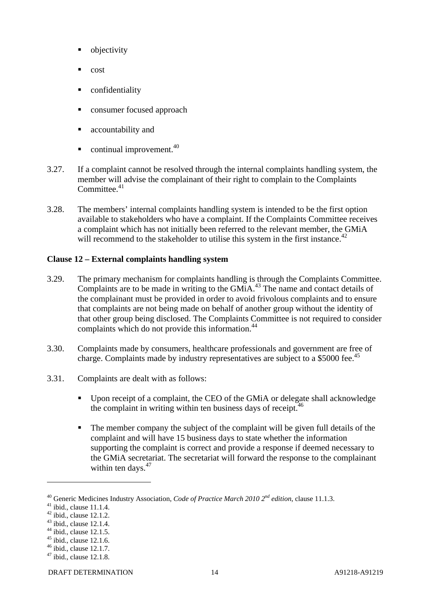- objectivity
- cost
- confidentiality
- consumer focused approach
- accountability and
- $\blacksquare$  continual improvement.<sup>40</sup>
- 3.27. If a complaint cannot be resolved through the internal complaints handling system, the member will advise the complainant of their right to complain to the Complaints Committee.<sup>41</sup>
- 3.28. The members' internal complaints handling system is intended to be the first option available to stakeholders who have a complaint. If the Complaints Committee receives a complaint which has not initially been referred to the relevant member, the GMiA will recommend to the stakeholder to utilise this system in the first instance.<sup>42</sup>

#### **Clause 12 – External complaints handling system**

- 3.29. The primary mechanism for complaints handling is through the Complaints Committee. Complaints are to be made in writing to the GMiA.43 The name and contact details of the complainant must be provided in order to avoid frivolous complaints and to ensure that complaints are not being made on behalf of another group without the identity of that other group being disclosed. The Complaints Committee is not required to consider complaints which do not provide this information.<sup>44</sup>
- 3.30. Complaints made by consumers, healthcare professionals and government are free of charge. Complaints made by industry representatives are subject to a \$5000 fee.<sup>45</sup>
- 3.31. Complaints are dealt with as follows:
	- Upon receipt of a complaint, the CEO of the GMiA or delegate shall acknowledge the complaint in writing within ten business days of receipt.  $46$
	- The member company the subject of the complaint will be given full details of the complaint and will have 15 business days to state whether the information supporting the complaint is correct and provide a response if deemed necessary to the GMiA secretariat. The secretariat will forward the response to the complainant within ten days. $47$

<sup>&</sup>lt;sup>40</sup> Generic Medicines Industry Association, *Code of Practice March 2010*  $2^{nd}$  *edition*, clause 11.1.3. <sup>41</sup> ibid., clause 11.1.4.

 $42$  ibid., clause 12.1.2.

 $43$  ibid., clause 12.1.4.

 $44$  ibid., clause 12.1.5.

 $45$  ibid., clause 12.1.6.

<sup>46</sup> ibid., clause 12.1.7.

 $47$  ibid., clause 12.1.8.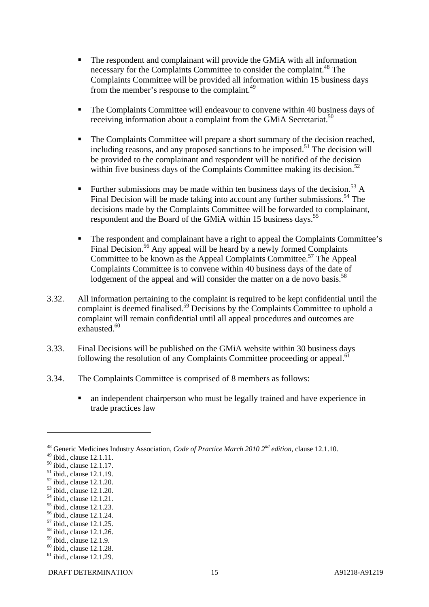- The respondent and complainant will provide the GMiA with all information necessary for the Complaints Committee to consider the complaint.<sup>48</sup> The Complaints Committee will be provided all information within 15 business days from the member's response to the complaint.<sup>49</sup>
- The Complaints Committee will endeavour to convene within 40 business days of receiving information about a complaint from the GMiA Secretariat.<sup>50</sup>
- The Complaints Committee will prepare a short summary of the decision reached, including reasons, and any proposed sanctions to be imposed.<sup>51</sup> The decision will be provided to the complainant and respondent will be notified of the decision within five business days of the Complaints Committee making its decision.<sup>52</sup>
- Further submissions may be made within ten business days of the decision.<sup>53</sup> A Final Decision will be made taking into account any further submissions.<sup>54</sup> The decisions made by the Complaints Committee will be forwarded to complainant, respondent and the Board of the GMiA within 15 business days.<sup>55</sup>
- The respondent and complainant have a right to appeal the Complaints Committee's Final Decision.<sup>56</sup> Any appeal will be heard by a newly formed Complaints Committee to be known as the Appeal Complaints Committee.<sup>57</sup> The Appeal Complaints Committee is to convene within 40 business days of the date of lodgement of the appeal and will consider the matter on a de novo basis.<sup>58</sup>
- 3.32. All information pertaining to the complaint is required to be kept confidential until the complaint is deemed finalised.<sup>59</sup> Decisions by the Complaints Committee to uphold a complaint will remain confidential until all appeal procedures and outcomes are exhausted.<sup>60</sup>
- 3.33. Final Decisions will be published on the GMiA website within 30 business days following the resolution of any Complaints Committee proceeding or appeal.<sup>61</sup>
- 3.34. The Complaints Committee is comprised of 8 members as follows:
	- an independent chairperson who must be legally trained and have experience in trade practices law

 $\overline{a}$ 

<sup>55</sup> ibid., clause 12.1.23.

<sup>48</sup> Generic Medicines Industry Association, *Code of Practice March 2010 2nd edition*, clause 12.1.10.

 $49$  ibid., clause 12.1.11.

<sup>50</sup> ibid., clause 12.1.17.

<sup>51</sup> ibid., clause 12.1.19.

<sup>52</sup> ibid., clause 12.1.20.

<sup>53</sup> ibid., clause 12.1.20.

<sup>54</sup> ibid., clause 12.1.21.

<sup>56</sup> ibid., clause 12.1.24.

<sup>57</sup> ibid., clause 12.1.25.

<sup>58</sup> ibid., clause 12.1.26.

<sup>59</sup> ibid., clause 12.1.9.

<sup>&</sup>lt;sup>60</sup> ibid., clause 12.1.28.

 $61$  ibid., clause 12.1.29.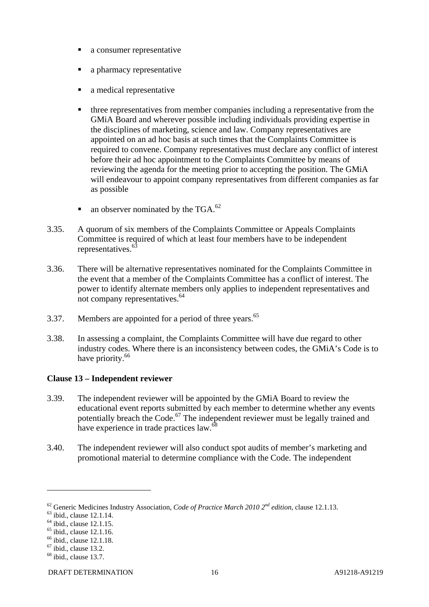- a consumer representative
- a pharmacy representative
- a medical representative
- three representatives from member companies including a representative from the GMiA Board and wherever possible including individuals providing expertise in the disciplines of marketing, science and law. Company representatives are appointed on an ad hoc basis at such times that the Complaints Committee is required to convene. Company representatives must declare any conflict of interest before their ad hoc appointment to the Complaints Committee by means of reviewing the agenda for the meeting prior to accepting the position. The GMiA will endeavour to appoint company representatives from different companies as far as possible
- an observer nominated by the TGA. $^{62}$
- 3.35. A quorum of six members of the Complaints Committee or Appeals Complaints Committee is required of which at least four members have to be independent representatives.<sup>63</sup>
- 3.36. There will be alternative representatives nominated for the Complaints Committee in the event that a member of the Complaints Committee has a conflict of interest. The power to identify alternate members only applies to independent representatives and not company representatives.<sup>64</sup>
- 3.37. Members are appointed for a period of three years.<sup>65</sup>
- 3.38. In assessing a complaint, the Complaints Committee will have due regard to other industry codes. Where there is an inconsistency between codes, the GMiA's Code is to have priority.<sup>66</sup>

#### **Clause 13 – Independent reviewer**

- 3.39. The independent reviewer will be appointed by the GMiA Board to review the educational event reports submitted by each member to determine whether any events potentially breach the Code.67 The independent reviewer must be legally trained and have experience in trade practices law.<sup>68</sup>
- 3.40. The independent reviewer will also conduct spot audits of member's marketing and promotional material to determine compliance with the Code. The independent

<sup>&</sup>lt;sup>62</sup> Generic Medicines Industry Association, *Code of Practice March 2010*  $2^{nd}$  *edition*, clause 12.1.13. <sup>63</sup> ibid., clause 12.1.14.

 $64$  ibid., clause 12.1.15.

 $65$  ibid., clause 12.1.16.

<sup>&</sup>lt;sup>66</sup> ibid., clause 12.1.18.

 $67$  ibid., clause 13.2.

 $68$  ibid., clause 13.7.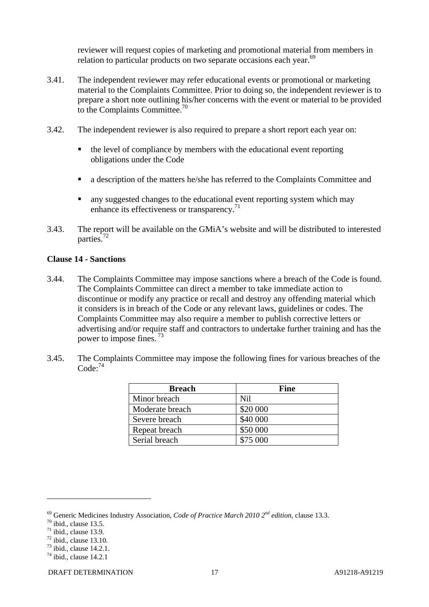reviewer will request copies of marketing and promotional material from members in relation to particular products on two separate occasions each year.<sup>69</sup>

- 3.41. The independent reviewer may refer educational events or promotional or marketing material to the Complaints Committee. Prior to doing so, the independent reviewer is to prepare a short note outlining his/her concerns with the event or material to be provided to the Complaints Committee.<sup>70</sup>
- 3.42. The independent reviewer is also required to prepare a short report each year on:
	- $\blacksquare$  the level of compliance by members with the educational event reporting obligations under the Code
	- a description of the matters he/she has referred to the Complaints Committee and
	- **a** any suggested changes to the educational event reporting system which may enhance its effectiveness or transparency.<sup>71</sup>
- 3.43. The report will be available on the GMiA's website and will be distributed to interested parties.<sup>72</sup>

#### **Clause 14 - Sanctions**

- 3.44. The Complaints Committee may impose sanctions where a breach of the Code is found. The Complaints Committee can direct a member to take immediate action to discontinue or modify any practice or recall and destroy any offending material which it considers is in breach of the Code or any relevant laws, guidelines or codes. The Complaints Committee may also require a member to publish corrective letters or advertising and/or require staff and contractors to undertake further training and has the power to impose fines. 73
- 3.45. The Complaints Committee may impose the following fines for various breaches of the  $Code^{74}$

| <b>Breach</b>   | Fine     |
|-----------------|----------|
| Minor breach    | Nil      |
| Moderate breach | \$20 000 |
| Severe breach   | \$40 000 |
| Repeat breach   | \$50 000 |
| Serial breach   | \$75,000 |

<sup>&</sup>lt;sup>69</sup> Generic Medicines Industry Association, *Code of Practice March 2010*  $2^{nd}$  *edition*, clause 13.3. <sup>70</sup> ibid., clause 13.5.

 $71$  ibid., clause 13.9.

 $72$  ibid., clause 13.10.

 $73$  ibid., clause 14.2.1.

 $74$  ibid., clause 14.2.1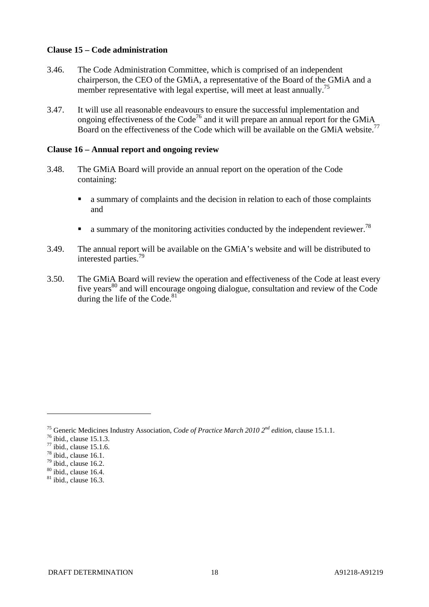#### **Clause 15 – Code administration**

- 3.46. The Code Administration Committee, which is comprised of an independent chairperson, the CEO of the GMiA, a representative of the Board of the GMiA and a member representative with legal expertise, will meet at least annually.<sup>75</sup>
- 3.47. It will use all reasonable endeavours to ensure the successful implementation and ongoing effectiveness of the  $Code^{76}$  and it will prepare an annual report for the GMiA Board on the effectiveness of the Code which will be available on the GMiA website.<sup>77</sup>

#### **Clause 16 – Annual report and ongoing review**

- 3.48. The GMiA Board will provide an annual report on the operation of the Code containing:
	- a summary of complaints and the decision in relation to each of those complaints and
	- a summary of the monitoring activities conducted by the independent reviewer.<sup>78</sup>
- 3.49. The annual report will be available on the GMiA's website and will be distributed to interested parties.79
- 3.50. The GMiA Board will review the operation and effectiveness of the Code at least every five years<sup>80</sup> and will encourage ongoing dialogue, consultation and review of the Code during the life of the Code. $81$

<sup>&</sup>lt;sup>75</sup> Generic Medicines Industry Association, *Code of Practice March 2010*  $2^{nd}$  *edition*, clause 15.1.1. <sup>76</sup> ibid., clause 15.1.3.

 $77$  ibid., clause 15.1.6.

 $78$  ibid., clause 16.1.

 $79$  ibid., clause 16.2.

 $80$  ibid., clause 16.4.

 $81$  ibid., clause 16.3.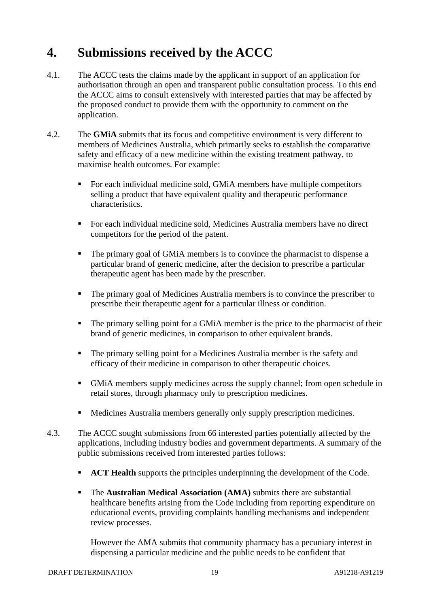# **4. Submissions received by the ACCC**

- 4.1. The ACCC tests the claims made by the applicant in support of an application for authorisation through an open and transparent public consultation process. To this end the ACCC aims to consult extensively with interested parties that may be affected by the proposed conduct to provide them with the opportunity to comment on the application.
- 4.2. The **GMiA** submits that its focus and competitive environment is very different to members of Medicines Australia, which primarily seeks to establish the comparative safety and efficacy of a new medicine within the existing treatment pathway, to maximise health outcomes. For example:
	- For each individual medicine sold, GMiA members have multiple competitors selling a product that have equivalent quality and therapeutic performance characteristics.
	- For each individual medicine sold, Medicines Australia members have no direct competitors for the period of the patent.
	- The primary goal of GMiA members is to convince the pharmacist to dispense a particular brand of generic medicine, after the decision to prescribe a particular therapeutic agent has been made by the prescriber.
	- The primary goal of Medicines Australia members is to convince the prescriber to prescribe their therapeutic agent for a particular illness or condition.
	- The primary selling point for a GMiA member is the price to the pharmacist of their brand of generic medicines, in comparison to other equivalent brands.
	- The primary selling point for a Medicines Australia member is the safety and efficacy of their medicine in comparison to other therapeutic choices.
	- GMiA members supply medicines across the supply channel; from open schedule in retail stores, through pharmacy only to prescription medicines.
	- Medicines Australia members generally only supply prescription medicines.
- 4.3. The ACCC sought submissions from 66 interested parties potentially affected by the applications, including industry bodies and government departments. A summary of the public submissions received from interested parties follows:
	- **ACT Health** supports the principles underpinning the development of the Code.
	- The **Australian Medical Association (AMA)** submits there are substantial healthcare benefits arising from the Code including from reporting expenditure on educational events, providing complaints handling mechanisms and independent review processes.

However the AMA submits that community pharmacy has a pecuniary interest in dispensing a particular medicine and the public needs to be confident that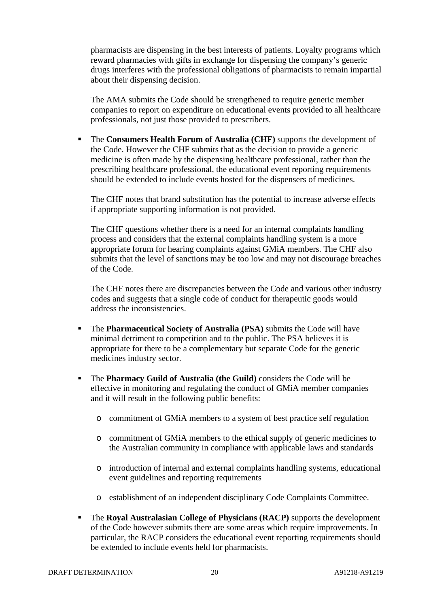pharmacists are dispensing in the best interests of patients. Loyalty programs which reward pharmacies with gifts in exchange for dispensing the company's generic drugs interferes with the professional obligations of pharmacists to remain impartial about their dispensing decision.

The AMA submits the Code should be strengthened to require generic member companies to report on expenditure on educational events provided to all healthcare professionals, not just those provided to prescribers.

 The **Consumers Health Forum of Australia (CHF)** supports the development of the Code. However the CHF submits that as the decision to provide a generic medicine is often made by the dispensing healthcare professional, rather than the prescribing healthcare professional, the educational event reporting requirements should be extended to include events hosted for the dispensers of medicines.

The CHF notes that brand substitution has the potential to increase adverse effects if appropriate supporting information is not provided.

The CHF questions whether there is a need for an internal complaints handling process and considers that the external complaints handling system is a more appropriate forum for hearing complaints against GMiA members. The CHF also submits that the level of sanctions may be too low and may not discourage breaches of the Code.

The CHF notes there are discrepancies between the Code and various other industry codes and suggests that a single code of conduct for therapeutic goods would address the inconsistencies.

- The **Pharmaceutical Society of Australia (PSA)** submits the Code will have minimal detriment to competition and to the public. The PSA believes it is appropriate for there to be a complementary but separate Code for the generic medicines industry sector.
- The **Pharmacy Guild of Australia (the Guild)** considers the Code will be effective in monitoring and regulating the conduct of GMiA member companies and it will result in the following public benefits:
	- o commitment of GMiA members to a system of best practice self regulation
	- o commitment of GMiA members to the ethical supply of generic medicines to the Australian community in compliance with applicable laws and standards
	- o introduction of internal and external complaints handling systems, educational event guidelines and reporting requirements
	- o establishment of an independent disciplinary Code Complaints Committee.
- The **Royal Australasian College of Physicians (RACP)** supports the development of the Code however submits there are some areas which require improvements. In particular, the RACP considers the educational event reporting requirements should be extended to include events held for pharmacists.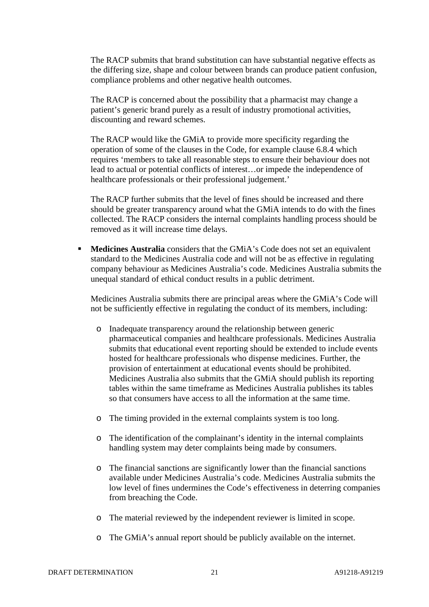The RACP submits that brand substitution can have substantial negative effects as the differing size, shape and colour between brands can produce patient confusion, compliance problems and other negative health outcomes.

The RACP is concerned about the possibility that a pharmacist may change a patient's generic brand purely as a result of industry promotional activities, discounting and reward schemes.

The RACP would like the GMiA to provide more specificity regarding the operation of some of the clauses in the Code, for example clause 6.8.4 which requires 'members to take all reasonable steps to ensure their behaviour does not lead to actual or potential conflicts of interest…or impede the independence of healthcare professionals or their professional judgement.'

The RACP further submits that the level of fines should be increased and there should be greater transparency around what the GMiA intends to do with the fines collected. The RACP considers the internal complaints handling process should be removed as it will increase time delays.

**Medicines Australia** considers that the GMiA's Code does not set an equivalent standard to the Medicines Australia code and will not be as effective in regulating company behaviour as Medicines Australia's code. Medicines Australia submits the unequal standard of ethical conduct results in a public detriment.

Medicines Australia submits there are principal areas where the GMiA's Code will not be sufficiently effective in regulating the conduct of its members, including:

- o Inadequate transparency around the relationship between generic pharmaceutical companies and healthcare professionals. Medicines Australia submits that educational event reporting should be extended to include events hosted for healthcare professionals who dispense medicines. Further, the provision of entertainment at educational events should be prohibited. Medicines Australia also submits that the GMiA should publish its reporting tables within the same timeframe as Medicines Australia publishes its tables so that consumers have access to all the information at the same time.
- o The timing provided in the external complaints system is too long.
- o The identification of the complainant's identity in the internal complaints handling system may deter complaints being made by consumers.
- o The financial sanctions are significantly lower than the financial sanctions available under Medicines Australia's code. Medicines Australia submits the low level of fines undermines the Code's effectiveness in deterring companies from breaching the Code.
- o The material reviewed by the independent reviewer is limited in scope.
- o The GMiA's annual report should be publicly available on the internet.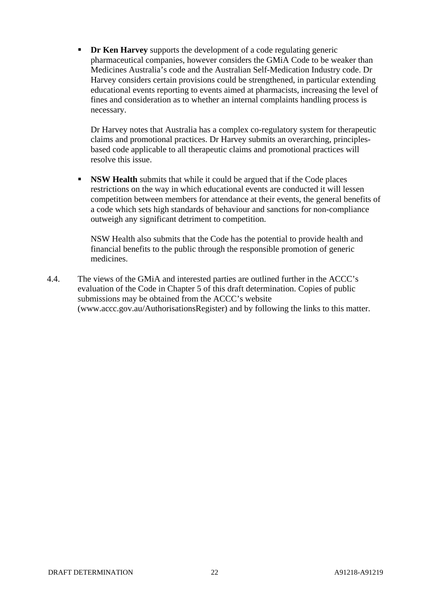**Dr Ken Harvey** supports the development of a code regulating generic pharmaceutical companies, however considers the GMiA Code to be weaker than Medicines Australia's code and the Australian Self-Medication Industry code. Dr Harvey considers certain provisions could be strengthened, in particular extending educational events reporting to events aimed at pharmacists, increasing the level of fines and consideration as to whether an internal complaints handling process is necessary.

Dr Harvey notes that Australia has a complex co-regulatory system for therapeutic claims and promotional practices. Dr Harvey submits an overarching, principlesbased code applicable to all therapeutic claims and promotional practices will resolve this issue.

**NSW Health** submits that while it could be argued that if the Code places restrictions on the way in which educational events are conducted it will lessen competition between members for attendance at their events, the general benefits of a code which sets high standards of behaviour and sanctions for non-compliance outweigh any significant detriment to competition.

NSW Health also submits that the Code has the potential to provide health and financial benefits to the public through the responsible promotion of generic medicines.

4.4. The views of the GMiA and interested parties are outlined further in the ACCC's evaluation of the Code in Chapter 5 of this draft determination. Copies of public submissions may be obtained from the ACCC's website (www.accc.gov.au/AuthorisationsRegister) and by following the links to this matter.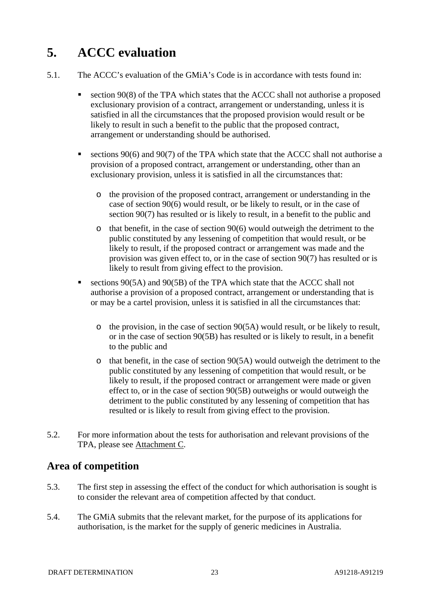# **5. ACCC evaluation**

- 5.1. The ACCC's evaluation of the GMiA's Code is in accordance with tests found in:
	- section 90(8) of the TPA which states that the ACCC shall not authorise a proposed exclusionary provision of a contract, arrangement or understanding, unless it is satisfied in all the circumstances that the proposed provision would result or be likely to result in such a benefit to the public that the proposed contract, arrangement or understanding should be authorised.
	- sections 90(6) and 90(7) of the TPA which state that the ACCC shall not authorise a provision of a proposed contract, arrangement or understanding, other than an exclusionary provision, unless it is satisfied in all the circumstances that:
		- o the provision of the proposed contract, arrangement or understanding in the case of section 90(6) would result, or be likely to result, or in the case of section 90(7) has resulted or is likely to result, in a benefit to the public and
		- $\circ$  that benefit, in the case of section 90(6) would outweigh the detriment to the public constituted by any lessening of competition that would result, or be likely to result, if the proposed contract or arrangement was made and the provision was given effect to, or in the case of section 90(7) has resulted or is likely to result from giving effect to the provision.
	- sections 90(5A) and 90(5B) of the TPA which state that the ACCC shall not authorise a provision of a proposed contract, arrangement or understanding that is or may be a cartel provision, unless it is satisfied in all the circumstances that:
		- o the provision, in the case of section 90(5A) would result, or be likely to result, or in the case of section 90(5B) has resulted or is likely to result, in a benefit to the public and
		- o that benefit, in the case of section 90(5A) would outweigh the detriment to the public constituted by any lessening of competition that would result, or be likely to result, if the proposed contract or arrangement were made or given effect to, or in the case of section 90(5B) outweighs or would outweigh the detriment to the public constituted by any lessening of competition that has resulted or is likely to result from giving effect to the provision.
- 5.2. For more information about the tests for authorisation and relevant provisions of the TPA, please see Attachment C.

# **Area of competition**

- 5.3. The first step in assessing the effect of the conduct for which authorisation is sought is to consider the relevant area of competition affected by that conduct.
- 5.4. The GMiA submits that the relevant market, for the purpose of its applications for authorisation, is the market for the supply of generic medicines in Australia.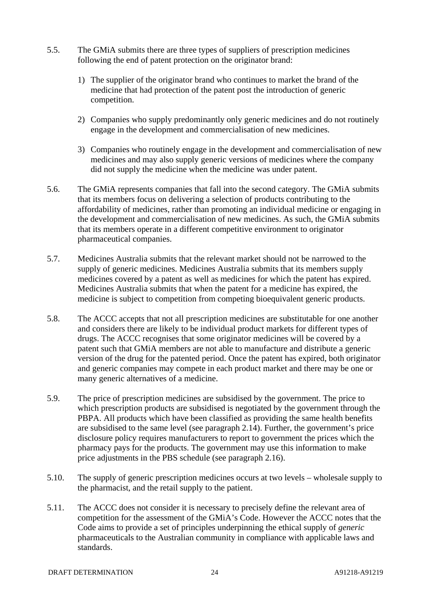- 5.5. The GMiA submits there are three types of suppliers of prescription medicines following the end of patent protection on the originator brand:
	- 1) The supplier of the originator brand who continues to market the brand of the medicine that had protection of the patent post the introduction of generic competition.
	- 2) Companies who supply predominantly only generic medicines and do not routinely engage in the development and commercialisation of new medicines.
	- 3) Companies who routinely engage in the development and commercialisation of new medicines and may also supply generic versions of medicines where the company did not supply the medicine when the medicine was under patent.
- 5.6. The GMiA represents companies that fall into the second category. The GMiA submits that its members focus on delivering a selection of products contributing to the affordability of medicines, rather than promoting an individual medicine or engaging in the development and commercialisation of new medicines. As such, the GMiA submits that its members operate in a different competitive environment to originator pharmaceutical companies.
- 5.7. Medicines Australia submits that the relevant market should not be narrowed to the supply of generic medicines. Medicines Australia submits that its members supply medicines covered by a patent as well as medicines for which the patent has expired. Medicines Australia submits that when the patent for a medicine has expired, the medicine is subject to competition from competing bioequivalent generic products.
- 5.8. The ACCC accepts that not all prescription medicines are substitutable for one another and considers there are likely to be individual product markets for different types of drugs. The ACCC recognises that some originator medicines will be covered by a patent such that GMiA members are not able to manufacture and distribute a generic version of the drug for the patented period. Once the patent has expired, both originator and generic companies may compete in each product market and there may be one or many generic alternatives of a medicine.
- 5.9. The price of prescription medicines are subsidised by the government. The price to which prescription products are subsidised is negotiated by the government through the PBPA. All products which have been classified as providing the same health benefits are subsidised to the same level (see paragraph 2.14). Further, the government's price disclosure policy requires manufacturers to report to government the prices which the pharmacy pays for the products. The government may use this information to make price adjustments in the PBS schedule (see paragraph 2.16).
- 5.10. The supply of generic prescription medicines occurs at two levels wholesale supply to the pharmacist, and the retail supply to the patient.
- 5.11. The ACCC does not consider it is necessary to precisely define the relevant area of competition for the assessment of the GMiA's Code. However the ACCC notes that the Code aims to provide a set of principles underpinning the ethical supply of *generic* pharmaceuticals to the Australian community in compliance with applicable laws and standards.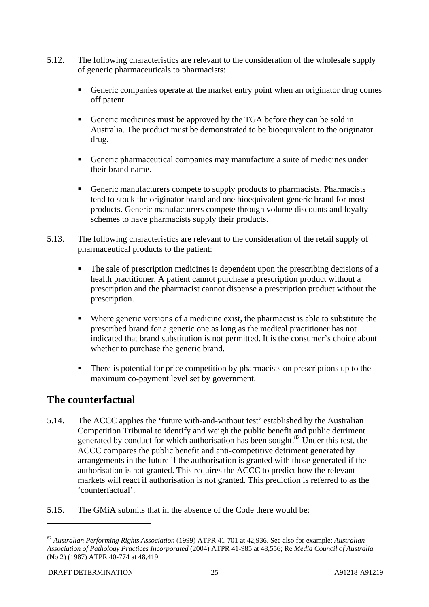- 5.12. The following characteristics are relevant to the consideration of the wholesale supply of generic pharmaceuticals to pharmacists:
	- Generic companies operate at the market entry point when an originator drug comes off patent.
	- Generic medicines must be approved by the TGA before they can be sold in Australia. The product must be demonstrated to be bioequivalent to the originator drug.
	- Generic pharmaceutical companies may manufacture a suite of medicines under their brand name.
	- Generic manufacturers compete to supply products to pharmacists. Pharmacists tend to stock the originator brand and one bioequivalent generic brand for most products. Generic manufacturers compete through volume discounts and loyalty schemes to have pharmacists supply their products.
- 5.13. The following characteristics are relevant to the consideration of the retail supply of pharmaceutical products to the patient:
	- The sale of prescription medicines is dependent upon the prescribing decisions of a health practitioner. A patient cannot purchase a prescription product without a prescription and the pharmacist cannot dispense a prescription product without the prescription.
	- Where generic versions of a medicine exist, the pharmacist is able to substitute the prescribed brand for a generic one as long as the medical practitioner has not indicated that brand substitution is not permitted. It is the consumer's choice about whether to purchase the generic brand.
	- There is potential for price competition by pharmacists on prescriptions up to the maximum co-payment level set by government.

# **The counterfactual**

- 5.14. The ACCC applies the 'future with-and-without test' established by the Australian Competition Tribunal to identify and weigh the public benefit and public detriment generated by conduct for which authorisation has been sought.<sup>82</sup> Under this test, the ACCC compares the public benefit and anti-competitive detriment generated by arrangements in the future if the authorisation is granted with those generated if the authorisation is not granted. This requires the ACCC to predict how the relevant markets will react if authorisation is not granted. This prediction is referred to as the 'counterfactual'.
- 5.15. The GMiA submits that in the absence of the Code there would be:

<sup>82</sup> *Australian Performing Rights Association* (1999) ATPR 41-701 at 42,936. See also for example: *Australian Association of Pathology Practices Incorporated* (2004) ATPR 41-985 at 48,556; Re *Media Council of Australia* (No.2) (1987) ATPR 40-774 at 48,419.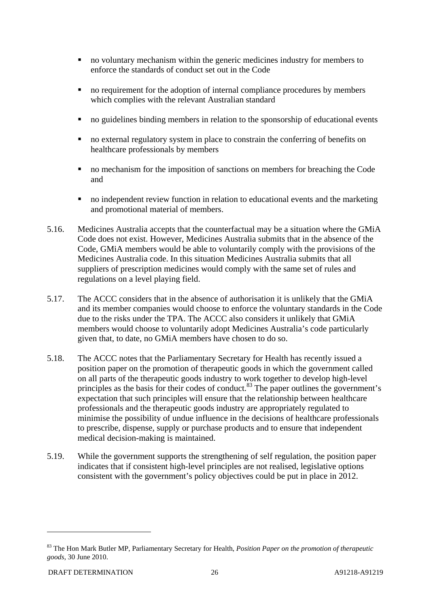- no voluntary mechanism within the generic medicines industry for members to enforce the standards of conduct set out in the Code
- no requirement for the adoption of internal compliance procedures by members which complies with the relevant Australian standard
- no guidelines binding members in relation to the sponsorship of educational events
- no external regulatory system in place to constrain the conferring of benefits on healthcare professionals by members
- no mechanism for the imposition of sanctions on members for breaching the Code and
- no independent review function in relation to educational events and the marketing and promotional material of members.
- 5.16. Medicines Australia accepts that the counterfactual may be a situation where the GMiA Code does not exist. However, Medicines Australia submits that in the absence of the Code, GMiA members would be able to voluntarily comply with the provisions of the Medicines Australia code. In this situation Medicines Australia submits that all suppliers of prescription medicines would comply with the same set of rules and regulations on a level playing field.
- 5.17. The ACCC considers that in the absence of authorisation it is unlikely that the GMiA and its member companies would choose to enforce the voluntary standards in the Code due to the risks under the TPA. The ACCC also considers it unlikely that GMiA members would choose to voluntarily adopt Medicines Australia's code particularly given that, to date, no GMiA members have chosen to do so.
- 5.18. The ACCC notes that the Parliamentary Secretary for Health has recently issued a position paper on the promotion of therapeutic goods in which the government called on all parts of the therapeutic goods industry to work together to develop high-level principles as the basis for their codes of conduct.<sup>83</sup> The paper outlines the government's expectation that such principles will ensure that the relationship between healthcare professionals and the therapeutic goods industry are appropriately regulated to minimise the possibility of undue influence in the decisions of healthcare professionals to prescribe, dispense, supply or purchase products and to ensure that independent medical decision-making is maintained.
- 5.19. While the government supports the strengthening of self regulation, the position paper indicates that if consistent high-level principles are not realised, legislative options consistent with the government's policy objectives could be put in place in 2012.

<sup>83</sup> The Hon Mark Butler MP, Parliamentary Secretary for Health, *Position Paper on the promotion of therapeutic goods*, 30 June 2010.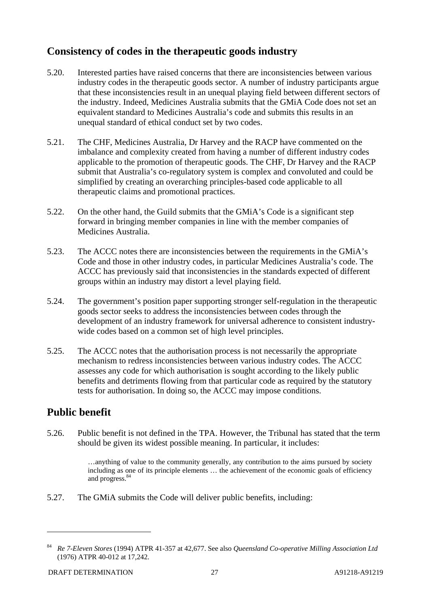# **Consistency of codes in the therapeutic goods industry**

- 5.20. Interested parties have raised concerns that there are inconsistencies between various industry codes in the therapeutic goods sector. A number of industry participants argue that these inconsistencies result in an unequal playing field between different sectors of the industry. Indeed, Medicines Australia submits that the GMiA Code does not set an equivalent standard to Medicines Australia's code and submits this results in an unequal standard of ethical conduct set by two codes.
- 5.21. The CHF, Medicines Australia, Dr Harvey and the RACP have commented on the imbalance and complexity created from having a number of different industry codes applicable to the promotion of therapeutic goods. The CHF, Dr Harvey and the RACP submit that Australia's co-regulatory system is complex and convoluted and could be simplified by creating an overarching principles-based code applicable to all therapeutic claims and promotional practices.
- 5.22. On the other hand, the Guild submits that the GMiA's Code is a significant step forward in bringing member companies in line with the member companies of Medicines Australia.
- 5.23. The ACCC notes there are inconsistencies between the requirements in the GMiA's Code and those in other industry codes, in particular Medicines Australia's code. The ACCC has previously said that inconsistencies in the standards expected of different groups within an industry may distort a level playing field.
- 5.24. The government's position paper supporting stronger self-regulation in the therapeutic goods sector seeks to address the inconsistencies between codes through the development of an industry framework for universal adherence to consistent industrywide codes based on a common set of high level principles.
- 5.25. The ACCC notes that the authorisation process is not necessarily the appropriate mechanism to redress inconsistencies between various industry codes. The ACCC assesses any code for which authorisation is sought according to the likely public benefits and detriments flowing from that particular code as required by the statutory tests for authorisation. In doing so, the ACCC may impose conditions.

# **Public benefit**

5.26. Public benefit is not defined in the TPA. However, the Tribunal has stated that the term should be given its widest possible meaning. In particular, it includes:

> …anything of value to the community generally, any contribution to the aims pursued by society including as one of its principle elements … the achievement of the economic goals of efficiency and progress.<sup>84</sup>

5.27. The GMiA submits the Code will deliver public benefits, including:

<sup>84</sup> *Re 7-Eleven Stores* (1994) ATPR 41-357 at 42,677. See also *Queensland Co-operative Milling Association Ltd* (1976) ATPR 40-012 at 17,242.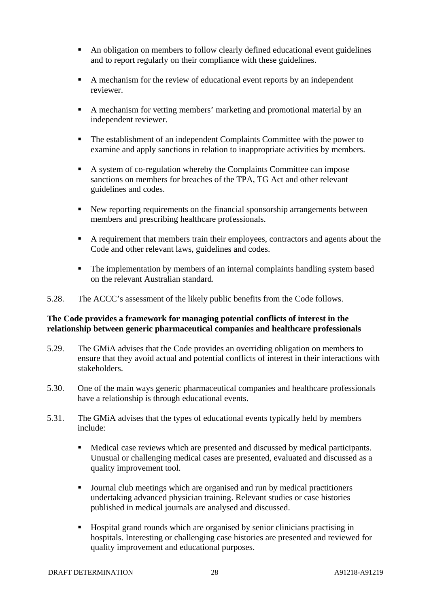- An obligation on members to follow clearly defined educational event guidelines and to report regularly on their compliance with these guidelines.
- A mechanism for the review of educational event reports by an independent reviewer.
- A mechanism for vetting members' marketing and promotional material by an independent reviewer.
- The establishment of an independent Complaints Committee with the power to examine and apply sanctions in relation to inappropriate activities by members.
- A system of co-regulation whereby the Complaints Committee can impose sanctions on members for breaches of the TPA, TG Act and other relevant guidelines and codes.
- New reporting requirements on the financial sponsorship arrangements between members and prescribing healthcare professionals.
- A requirement that members train their employees, contractors and agents about the Code and other relevant laws, guidelines and codes.
- The implementation by members of an internal complaints handling system based on the relevant Australian standard.
- 5.28. The ACCC's assessment of the likely public benefits from the Code follows.

#### **The Code provides a framework for managing potential conflicts of interest in the relationship between generic pharmaceutical companies and healthcare professionals**

- 5.29. The GMiA advises that the Code provides an overriding obligation on members to ensure that they avoid actual and potential conflicts of interest in their interactions with stakeholders.
- 5.30. One of the main ways generic pharmaceutical companies and healthcare professionals have a relationship is through educational events.
- 5.31. The GMiA advises that the types of educational events typically held by members include:
	- Medical case reviews which are presented and discussed by medical participants. Unusual or challenging medical cases are presented, evaluated and discussed as a quality improvement tool.
	- Journal club meetings which are organised and run by medical practitioners undertaking advanced physician training. Relevant studies or case histories published in medical journals are analysed and discussed.
	- Hospital grand rounds which are organised by senior clinicians practising in hospitals. Interesting or challenging case histories are presented and reviewed for quality improvement and educational purposes.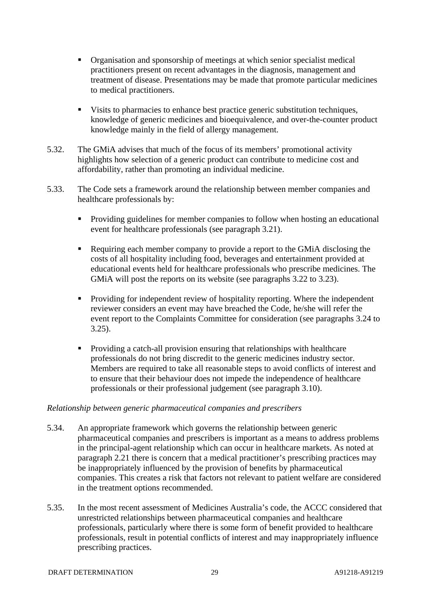- Organisation and sponsorship of meetings at which senior specialist medical practitioners present on recent advantages in the diagnosis, management and treatment of disease. Presentations may be made that promote particular medicines to medical practitioners.
- Visits to pharmacies to enhance best practice generic substitution techniques, knowledge of generic medicines and bioequivalence, and over-the-counter product knowledge mainly in the field of allergy management.
- 5.32. The GMiA advises that much of the focus of its members' promotional activity highlights how selection of a generic product can contribute to medicine cost and affordability, rather than promoting an individual medicine.
- 5.33. The Code sets a framework around the relationship between member companies and healthcare professionals by:
	- **Providing guidelines for member companies to follow when hosting an educational** event for healthcare professionals (see paragraph 3.21).
	- Requiring each member company to provide a report to the GMiA disclosing the costs of all hospitality including food, beverages and entertainment provided at educational events held for healthcare professionals who prescribe medicines. The GMiA will post the reports on its website (see paragraphs 3.22 to 3.23).
	- **Providing for independent review of hospitality reporting. Where the independent** reviewer considers an event may have breached the Code, he/she will refer the event report to the Complaints Committee for consideration (see paragraphs 3.24 to 3.25).
	- Providing a catch-all provision ensuring that relationships with healthcare professionals do not bring discredit to the generic medicines industry sector. Members are required to take all reasonable steps to avoid conflicts of interest and to ensure that their behaviour does not impede the independence of healthcare professionals or their professional judgement (see paragraph 3.10).

#### *Relationship between generic pharmaceutical companies and prescribers*

- 5.34. An appropriate framework which governs the relationship between generic pharmaceutical companies and prescribers is important as a means to address problems in the principal-agent relationship which can occur in healthcare markets. As noted at paragraph 2.21 there is concern that a medical practitioner's prescribing practices may be inappropriately influenced by the provision of benefits by pharmaceutical companies. This creates a risk that factors not relevant to patient welfare are considered in the treatment options recommended.
- 5.35. In the most recent assessment of Medicines Australia's code, the ACCC considered that unrestricted relationships between pharmaceutical companies and healthcare professionals, particularly where there is some form of benefit provided to healthcare professionals, result in potential conflicts of interest and may inappropriately influence prescribing practices.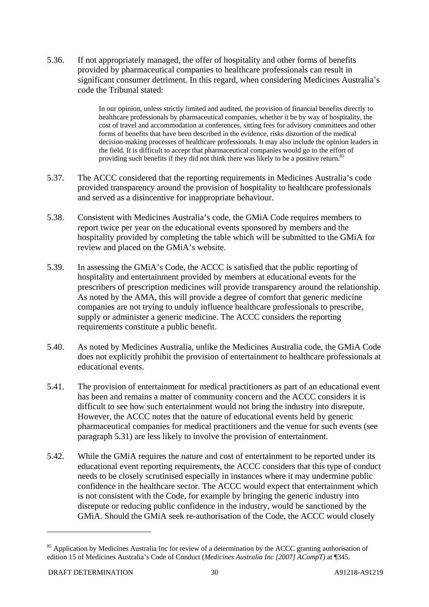5.36. If not appropriately managed, the offer of hospitality and other forms of benefits provided by pharmaceutical companies to healthcare professionals can result in significant consumer detriment. In this regard, when considering Medicines Australia's code the Tribunal stated:

> In our opinion, unless strictly limited and audited, the provision of financial benefits directly to healthcare professionals by pharmaceutical companies, whether it be by way of hospitality, the cost of travel and accommodation at conferences, sitting fees for advisory committees and other forms of benefits that have been described in the evidence, risks distortion of the medical decision-making processes of healthcare professionals. It may also include the opinion leaders in the field. It is difficult to accept that pharmaceutical companies would go to the effort of providing such benefits if they did not think there was likely to be a positive return.<sup>85</sup>

- 5.37. The ACCC considered that the reporting requirements in Medicines Australia's code provided transparency around the provision of hospitality to healthcare professionals and served as a disincentive for inappropriate behaviour.
- 5.38. Consistent with Medicines Australia's code, the GMiA Code requires members to report twice per year on the educational events sponsored by members and the hospitality provided by completing the table which will be submitted to the GMiA for review and placed on the GMiA's website.
- 5.39. In assessing the GMiA's Code, the ACCC is satisfied that the public reporting of hospitality and entertainment provided by members at educational events for the prescribers of prescription medicines will provide transparency around the relationship. As noted by the AMA, this will provide a degree of comfort that generic medicine companies are not trying to unduly influence healthcare professionals to prescribe, supply or administer a generic medicine. The ACCC considers the reporting requirements constitute a public benefit.
- 5.40. As noted by Medicines Australia, unlike the Medicines Australia code, the GMiA Code does not explicitly prohibit the provision of entertainment to healthcare professionals at educational events.
- 5.41. The provision of entertainment for medical practitioners as part of an educational event has been and remains a matter of community concern and the ACCC considers it is difficult to see how such entertainment would not bring the industry into disrepute. However, the ACCC notes that the nature of educational events held by generic pharmaceutical companies for medical practitioners and the venue for such events (see paragraph 5.31) are less likely to involve the provision of entertainment.
- 5.42. While the GMiA requires the nature and cost of entertainment to be reported under its educational event reporting requirements, the ACCC considers that this type of conduct needs to be closely scrutinised especially in instances where it may undermine public confidence in the healthcare sector. The ACCC would expect that entertainment which is not consistent with the Code, for example by bringing the generic industry into disrepute or reducing public confidence in the industry, would be sanctioned by the GMiA. Should the GMiA seek re-authorisation of the Code, the ACCC would closely

<sup>&</sup>lt;sup>85</sup> Application by Medicines Australia Inc for review of a determination by the ACCC granting authorisation of edition 15 of Medicines Australia's Code of Conduct (*Medicines Australia Inc [2007] ACompT)* at ¶345.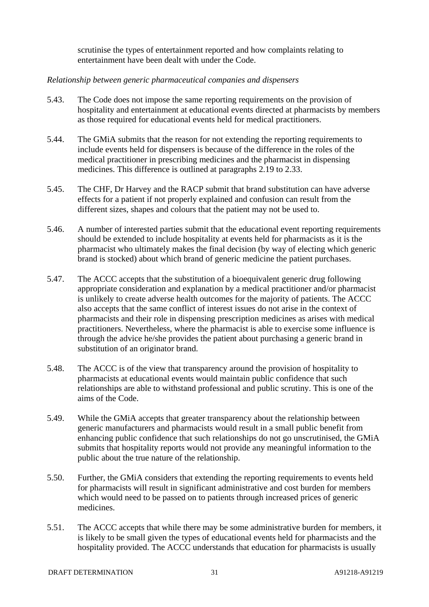scrutinise the types of entertainment reported and how complaints relating to entertainment have been dealt with under the Code.

#### *Relationship between generic pharmaceutical companies and dispensers*

- 5.43. The Code does not impose the same reporting requirements on the provision of hospitality and entertainment at educational events directed at pharmacists by members as those required for educational events held for medical practitioners.
- 5.44. The GMiA submits that the reason for not extending the reporting requirements to include events held for dispensers is because of the difference in the roles of the medical practitioner in prescribing medicines and the pharmacist in dispensing medicines. This difference is outlined at paragraphs 2.19 to 2.33.
- 5.45. The CHF, Dr Harvey and the RACP submit that brand substitution can have adverse effects for a patient if not properly explained and confusion can result from the different sizes, shapes and colours that the patient may not be used to.
- 5.46. A number of interested parties submit that the educational event reporting requirements should be extended to include hospitality at events held for pharmacists as it is the pharmacist who ultimately makes the final decision (by way of electing which generic brand is stocked) about which brand of generic medicine the patient purchases.
- 5.47. The ACCC accepts that the substitution of a bioequivalent generic drug following appropriate consideration and explanation by a medical practitioner and/or pharmacist is unlikely to create adverse health outcomes for the majority of patients. The ACCC also accepts that the same conflict of interest issues do not arise in the context of pharmacists and their role in dispensing prescription medicines as arises with medical practitioners. Nevertheless, where the pharmacist is able to exercise some influence is through the advice he/she provides the patient about purchasing a generic brand in substitution of an originator brand.
- 5.48. The ACCC is of the view that transparency around the provision of hospitality to pharmacists at educational events would maintain public confidence that such relationships are able to withstand professional and public scrutiny. This is one of the aims of the Code.
- 5.49. While the GMiA accepts that greater transparency about the relationship between generic manufacturers and pharmacists would result in a small public benefit from enhancing public confidence that such relationships do not go unscrutinised, the GMiA submits that hospitality reports would not provide any meaningful information to the public about the true nature of the relationship.
- 5.50. Further, the GMiA considers that extending the reporting requirements to events held for pharmacists will result in significant administrative and cost burden for members which would need to be passed on to patients through increased prices of generic medicines.
- 5.51. The ACCC accepts that while there may be some administrative burden for members, it is likely to be small given the types of educational events held for pharmacists and the hospitality provided. The ACCC understands that education for pharmacists is usually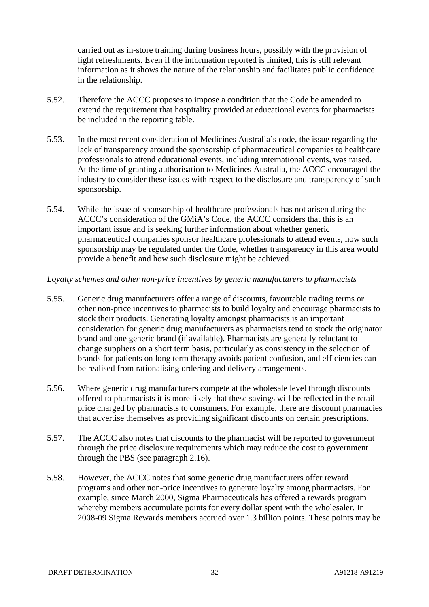carried out as in-store training during business hours, possibly with the provision of light refreshments. Even if the information reported is limited, this is still relevant information as it shows the nature of the relationship and facilitates public confidence in the relationship.

- 5.52. Therefore the ACCC proposes to impose a condition that the Code be amended to extend the requirement that hospitality provided at educational events for pharmacists be included in the reporting table.
- 5.53. In the most recent consideration of Medicines Australia's code, the issue regarding the lack of transparency around the sponsorship of pharmaceutical companies to healthcare professionals to attend educational events, including international events, was raised. At the time of granting authorisation to Medicines Australia, the ACCC encouraged the industry to consider these issues with respect to the disclosure and transparency of such sponsorship.
- 5.54. While the issue of sponsorship of healthcare professionals has not arisen during the ACCC's consideration of the GMiA's Code, the ACCC considers that this is an important issue and is seeking further information about whether generic pharmaceutical companies sponsor healthcare professionals to attend events, how such sponsorship may be regulated under the Code, whether transparency in this area would provide a benefit and how such disclosure might be achieved.

#### *Loyalty schemes and other non-price incentives by generic manufacturers to pharmacists*

- 5.55. Generic drug manufacturers offer a range of discounts, favourable trading terms or other non-price incentives to pharmacists to build loyalty and encourage pharmacists to stock their products. Generating loyalty amongst pharmacists is an important consideration for generic drug manufacturers as pharmacists tend to stock the originator brand and one generic brand (if available). Pharmacists are generally reluctant to change suppliers on a short term basis, particularly as consistency in the selection of brands for patients on long term therapy avoids patient confusion, and efficiencies can be realised from rationalising ordering and delivery arrangements.
- 5.56. Where generic drug manufacturers compete at the wholesale level through discounts offered to pharmacists it is more likely that these savings will be reflected in the retail price charged by pharmacists to consumers. For example, there are discount pharmacies that advertise themselves as providing significant discounts on certain prescriptions.
- 5.57. The ACCC also notes that discounts to the pharmacist will be reported to government through the price disclosure requirements which may reduce the cost to government through the PBS (see paragraph 2.16).
- 5.58. However, the ACCC notes that some generic drug manufacturers offer reward programs and other non-price incentives to generate loyalty among pharmacists. For example, since March 2000, Sigma Pharmaceuticals has offered a rewards program whereby members accumulate points for every dollar spent with the wholesaler. In 2008-09 Sigma Rewards members accrued over 1.3 billion points. These points may be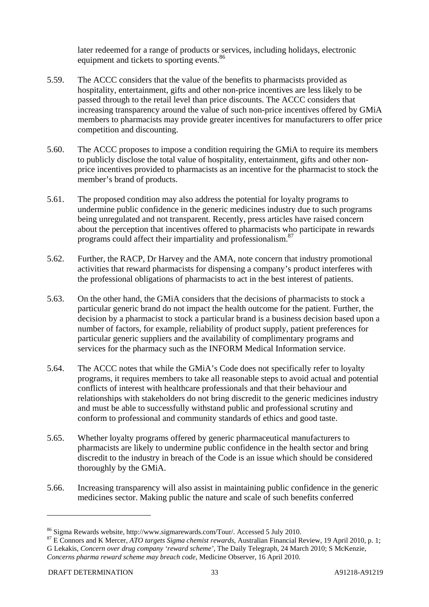later redeemed for a range of products or services, including holidays, electronic equipment and tickets to sporting events.<sup>86</sup>

- 5.59. The ACCC considers that the value of the benefits to pharmacists provided as hospitality, entertainment, gifts and other non-price incentives are less likely to be passed through to the retail level than price discounts. The ACCC considers that increasing transparency around the value of such non-price incentives offered by GMiA members to pharmacists may provide greater incentives for manufacturers to offer price competition and discounting.
- 5.60. The ACCC proposes to impose a condition requiring the GMiA to require its members to publicly disclose the total value of hospitality, entertainment, gifts and other nonprice incentives provided to pharmacists as an incentive for the pharmacist to stock the member's brand of products.
- 5.61. The proposed condition may also address the potential for loyalty programs to undermine public confidence in the generic medicines industry due to such programs being unregulated and not transparent. Recently, press articles have raised concern about the perception that incentives offered to pharmacists who participate in rewards programs could affect their impartiality and professionalism.<sup>87</sup>
- 5.62. Further, the RACP, Dr Harvey and the AMA, note concern that industry promotional activities that reward pharmacists for dispensing a company's product interferes with the professional obligations of pharmacists to act in the best interest of patients.
- 5.63. On the other hand, the GMiA considers that the decisions of pharmacists to stock a particular generic brand do not impact the health outcome for the patient. Further, the decision by a pharmacist to stock a particular brand is a business decision based upon a number of factors, for example, reliability of product supply, patient preferences for particular generic suppliers and the availability of complimentary programs and services for the pharmacy such as the INFORM Medical Information service.
- 5.64. The ACCC notes that while the GMiA's Code does not specifically refer to loyalty programs, it requires members to take all reasonable steps to avoid actual and potential conflicts of interest with healthcare professionals and that their behaviour and relationships with stakeholders do not bring discredit to the generic medicines industry and must be able to successfully withstand public and professional scrutiny and conform to professional and community standards of ethics and good taste.
- 5.65. Whether loyalty programs offered by generic pharmaceutical manufacturers to pharmacists are likely to undermine public confidence in the health sector and bring discredit to the industry in breach of the Code is an issue which should be considered thoroughly by the GMiA.
- 5.66. Increasing transparency will also assist in maintaining public confidence in the generic medicines sector. Making public the nature and scale of such benefits conferred

<sup>&</sup>lt;sup>86</sup> Sigma Rewards website, http://www.sigmarewards.com/Tour/. Accessed 5 July 2010.<br><sup>87</sup> E Connors and K Mercer, *ATO targets Sigma chemist rewards*, Australian Financial Review, 19 April 2010, p. 1; G Lekakis, *Concern over drug company 'reward scheme'*, The Daily Telegraph, 24 March 2010; S McKenzie, *Concerns pharma reward scheme may breach code*, Medicine Observer, 16 April 2010.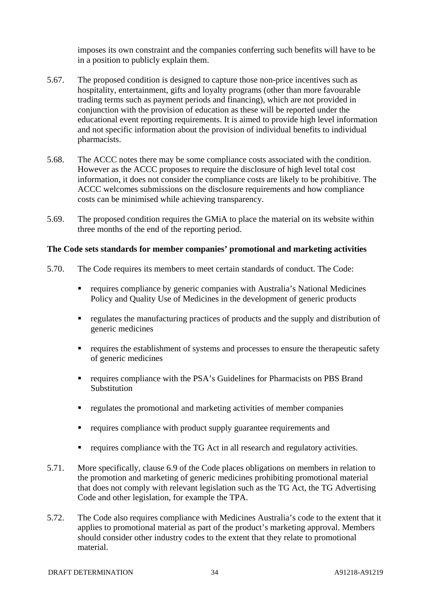imposes its own constraint and the companies conferring such benefits will have to be in a position to publicly explain them.

- 5.67. The proposed condition is designed to capture those non-price incentives such as hospitality, entertainment, gifts and loyalty programs (other than more favourable trading terms such as payment periods and financing), which are not provided in conjunction with the provision of education as these will be reported under the educational event reporting requirements. It is aimed to provide high level information and not specific information about the provision of individual benefits to individual pharmacists.
- 5.68. The ACCC notes there may be some compliance costs associated with the condition. However as the ACCC proposes to require the disclosure of high level total cost information, it does not consider the compliance costs are likely to be prohibitive. The ACCC welcomes submissions on the disclosure requirements and how compliance costs can be minimised while achieving transparency.
- 5.69. The proposed condition requires the GMiA to place the material on its website within three months of the end of the reporting period.

#### **The Code sets standards for member companies' promotional and marketing activities**

- 5.70. The Code requires its members to meet certain standards of conduct. The Code:
	- requires compliance by generic companies with Australia's National Medicines Policy and Quality Use of Medicines in the development of generic products
	- regulates the manufacturing practices of products and the supply and distribution of generic medicines
	- requires the establishment of systems and processes to ensure the therapeutic safety of generic medicines
	- requires compliance with the PSA's Guidelines for Pharmacists on PBS Brand Substitution
	- regulates the promotional and marketing activities of member companies
	- requires compliance with product supply guarantee requirements and
	- requires compliance with the TG Act in all research and regulatory activities.
- 5.71. More specifically, clause 6.9 of the Code places obligations on members in relation to the promotion and marketing of generic medicines prohibiting promotional material that does not comply with relevant legislation such as the TG Act, the TG Advertising Code and other legislation, for example the TPA.
- 5.72. The Code also requires compliance with Medicines Australia's code to the extent that it applies to promotional material as part of the product's marketing approval. Members should consider other industry codes to the extent that they relate to promotional material.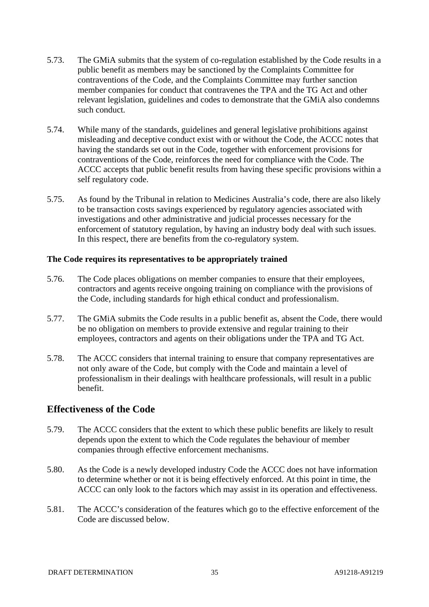- 5.73. The GMiA submits that the system of co-regulation established by the Code results in a public benefit as members may be sanctioned by the Complaints Committee for contraventions of the Code, and the Complaints Committee may further sanction member companies for conduct that contravenes the TPA and the TG Act and other relevant legislation, guidelines and codes to demonstrate that the GMiA also condemns such conduct.
- 5.74. While many of the standards, guidelines and general legislative prohibitions against misleading and deceptive conduct exist with or without the Code, the ACCC notes that having the standards set out in the Code, together with enforcement provisions for contraventions of the Code, reinforces the need for compliance with the Code. The ACCC accepts that public benefit results from having these specific provisions within a self regulatory code.
- 5.75. As found by the Tribunal in relation to Medicines Australia's code, there are also likely to be transaction costs savings experienced by regulatory agencies associated with investigations and other administrative and judicial processes necessary for the enforcement of statutory regulation, by having an industry body deal with such issues. In this respect, there are benefits from the co-regulatory system.

#### **The Code requires its representatives to be appropriately trained**

- 5.76. The Code places obligations on member companies to ensure that their employees, contractors and agents receive ongoing training on compliance with the provisions of the Code, including standards for high ethical conduct and professionalism.
- 5.77. The GMiA submits the Code results in a public benefit as, absent the Code, there would be no obligation on members to provide extensive and regular training to their employees, contractors and agents on their obligations under the TPA and TG Act.
- 5.78. The ACCC considers that internal training to ensure that company representatives are not only aware of the Code, but comply with the Code and maintain a level of professionalism in their dealings with healthcare professionals, will result in a public benefit.

#### **Effectiveness of the Code**

- 5.79. The ACCC considers that the extent to which these public benefits are likely to result depends upon the extent to which the Code regulates the behaviour of member companies through effective enforcement mechanisms.
- 5.80. As the Code is a newly developed industry Code the ACCC does not have information to determine whether or not it is being effectively enforced. At this point in time, the ACCC can only look to the factors which may assist in its operation and effectiveness.
- 5.81. The ACCC's consideration of the features which go to the effective enforcement of the Code are discussed below.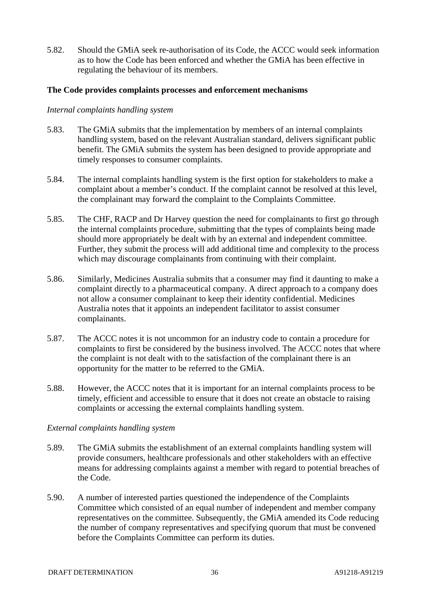5.82. Should the GMiA seek re-authorisation of its Code, the ACCC would seek information as to how the Code has been enforced and whether the GMiA has been effective in regulating the behaviour of its members.

#### **The Code provides complaints processes and enforcement mechanisms**

#### *Internal complaints handling system*

- 5.83. The GMiA submits that the implementation by members of an internal complaints handling system, based on the relevant Australian standard, delivers significant public benefit. The GMiA submits the system has been designed to provide appropriate and timely responses to consumer complaints.
- 5.84. The internal complaints handling system is the first option for stakeholders to make a complaint about a member's conduct. If the complaint cannot be resolved at this level, the complainant may forward the complaint to the Complaints Committee.
- 5.85. The CHF, RACP and Dr Harvey question the need for complainants to first go through the internal complaints procedure, submitting that the types of complaints being made should more appropriately be dealt with by an external and independent committee. Further, they submit the process will add additional time and complexity to the process which may discourage complainants from continuing with their complaint.
- 5.86. Similarly, Medicines Australia submits that a consumer may find it daunting to make a complaint directly to a pharmaceutical company. A direct approach to a company does not allow a consumer complainant to keep their identity confidential. Medicines Australia notes that it appoints an independent facilitator to assist consumer complainants.
- 5.87. The ACCC notes it is not uncommon for an industry code to contain a procedure for complaints to first be considered by the business involved. The ACCC notes that where the complaint is not dealt with to the satisfaction of the complainant there is an opportunity for the matter to be referred to the GMiA.
- 5.88. However, the ACCC notes that it is important for an internal complaints process to be timely, efficient and accessible to ensure that it does not create an obstacle to raising complaints or accessing the external complaints handling system.

#### *External complaints handling system*

- 5.89. The GMiA submits the establishment of an external complaints handling system will provide consumers, healthcare professionals and other stakeholders with an effective means for addressing complaints against a member with regard to potential breaches of the Code.
- 5.90. A number of interested parties questioned the independence of the Complaints Committee which consisted of an equal number of independent and member company representatives on the committee. Subsequently, the GMiA amended its Code reducing the number of company representatives and specifying quorum that must be convened before the Complaints Committee can perform its duties.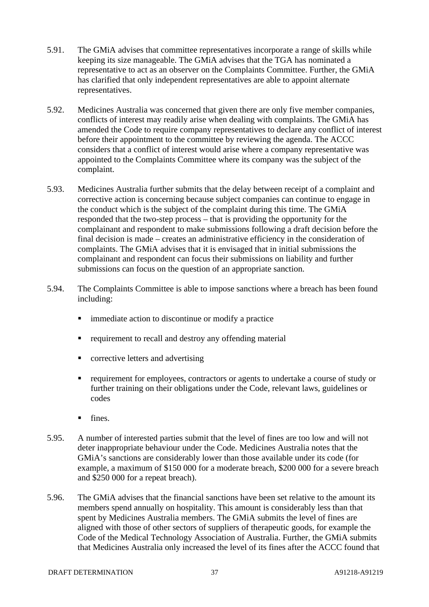- 5.91. The GMiA advises that committee representatives incorporate a range of skills while keeping its size manageable. The GMiA advises that the TGA has nominated a representative to act as an observer on the Complaints Committee. Further, the GMiA has clarified that only independent representatives are able to appoint alternate representatives.
- 5.92. Medicines Australia was concerned that given there are only five member companies, conflicts of interest may readily arise when dealing with complaints. The GMiA has amended the Code to require company representatives to declare any conflict of interest before their appointment to the committee by reviewing the agenda. The ACCC considers that a conflict of interest would arise where a company representative was appointed to the Complaints Committee where its company was the subject of the complaint.
- 5.93. Medicines Australia further submits that the delay between receipt of a complaint and corrective action is concerning because subject companies can continue to engage in the conduct which is the subject of the complaint during this time. The GMiA responded that the two-step process – that is providing the opportunity for the complainant and respondent to make submissions following a draft decision before the final decision is made – creates an administrative efficiency in the consideration of complaints. The GMiA advises that it is envisaged that in initial submissions the complainant and respondent can focus their submissions on liability and further submissions can focus on the question of an appropriate sanction.
- 5.94. The Complaints Committee is able to impose sanctions where a breach has been found including:
	- immediate action to discontinue or modify a practice
	- **•** requirement to recall and destroy any offending material
	- corrective letters and advertising
	- requirement for employees, contractors or agents to undertake a course of study or further training on their obligations under the Code, relevant laws, guidelines or codes
	- $\blacksquare$  fines.
- 5.95. A number of interested parties submit that the level of fines are too low and will not deter inappropriate behaviour under the Code. Medicines Australia notes that the GMiA's sanctions are considerably lower than those available under its code (for example, a maximum of \$150 000 for a moderate breach, \$200 000 for a severe breach and \$250 000 for a repeat breach).
- 5.96. The GMiA advises that the financial sanctions have been set relative to the amount its members spend annually on hospitality. This amount is considerably less than that spent by Medicines Australia members. The GMiA submits the level of fines are aligned with those of other sectors of suppliers of therapeutic goods, for example the Code of the Medical Technology Association of Australia. Further, the GMiA submits that Medicines Australia only increased the level of its fines after the ACCC found that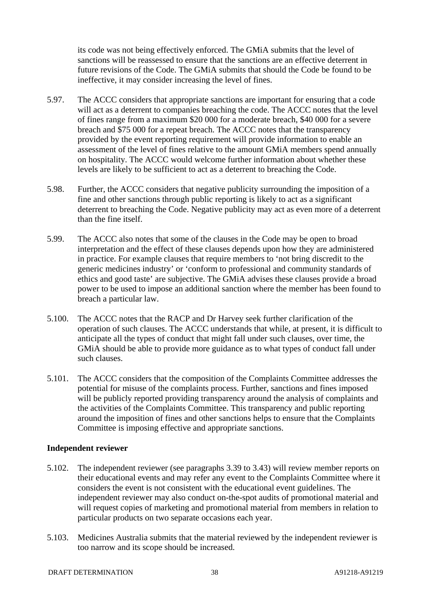its code was not being effectively enforced. The GMiA submits that the level of sanctions will be reassessed to ensure that the sanctions are an effective deterrent in future revisions of the Code. The GMiA submits that should the Code be found to be ineffective, it may consider increasing the level of fines.

- 5.97. The ACCC considers that appropriate sanctions are important for ensuring that a code will act as a deterrent to companies breaching the code. The ACCC notes that the level of fines range from a maximum \$20 000 for a moderate breach, \$40 000 for a severe breach and \$75 000 for a repeat breach. The ACCC notes that the transparency provided by the event reporting requirement will provide information to enable an assessment of the level of fines relative to the amount GMiA members spend annually on hospitality. The ACCC would welcome further information about whether these levels are likely to be sufficient to act as a deterrent to breaching the Code.
- 5.98. Further, the ACCC considers that negative publicity surrounding the imposition of a fine and other sanctions through public reporting is likely to act as a significant deterrent to breaching the Code. Negative publicity may act as even more of a deterrent than the fine itself.
- 5.99. The ACCC also notes that some of the clauses in the Code may be open to broad interpretation and the effect of these clauses depends upon how they are administered in practice. For example clauses that require members to 'not bring discredit to the generic medicines industry' or 'conform to professional and community standards of ethics and good taste' are subjective. The GMiA advises these clauses provide a broad power to be used to impose an additional sanction where the member has been found to breach a particular law.
- 5.100. The ACCC notes that the RACP and Dr Harvey seek further clarification of the operation of such clauses. The ACCC understands that while, at present, it is difficult to anticipate all the types of conduct that might fall under such clauses, over time, the GMiA should be able to provide more guidance as to what types of conduct fall under such clauses.
- 5.101. The ACCC considers that the composition of the Complaints Committee addresses the potential for misuse of the complaints process. Further, sanctions and fines imposed will be publicly reported providing transparency around the analysis of complaints and the activities of the Complaints Committee. This transparency and public reporting around the imposition of fines and other sanctions helps to ensure that the Complaints Committee is imposing effective and appropriate sanctions.

#### **Independent reviewer**

- 5.102. The independent reviewer (see paragraphs 3.39 to 3.43) will review member reports on their educational events and may refer any event to the Complaints Committee where it considers the event is not consistent with the educational event guidelines. The independent reviewer may also conduct on-the-spot audits of promotional material and will request copies of marketing and promotional material from members in relation to particular products on two separate occasions each year.
- 5.103. Medicines Australia submits that the material reviewed by the independent reviewer is too narrow and its scope should be increased.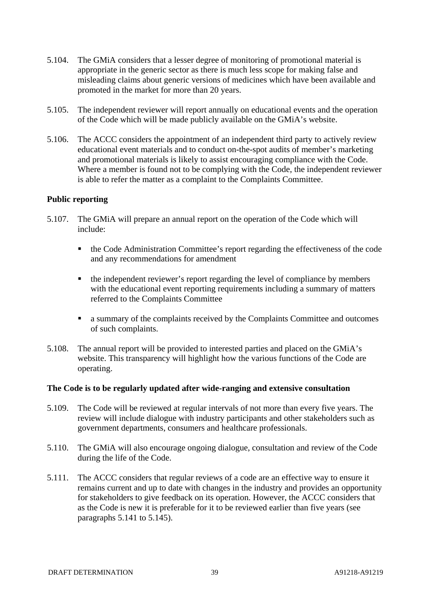- 5.104. The GMiA considers that a lesser degree of monitoring of promotional material is appropriate in the generic sector as there is much less scope for making false and misleading claims about generic versions of medicines which have been available and promoted in the market for more than 20 years.
- 5.105. The independent reviewer will report annually on educational events and the operation of the Code which will be made publicly available on the GMiA's website.
- 5.106. The ACCC considers the appointment of an independent third party to actively review educational event materials and to conduct on-the-spot audits of member's marketing and promotional materials is likely to assist encouraging compliance with the Code. Where a member is found not to be complying with the Code, the independent reviewer is able to refer the matter as a complaint to the Complaints Committee.

#### **Public reporting**

- 5.107. The GMiA will prepare an annual report on the operation of the Code which will include:
	- the Code Administration Committee's report regarding the effectiveness of the code and any recommendations for amendment
	- the independent reviewer's report regarding the level of compliance by members with the educational event reporting requirements including a summary of matters referred to the Complaints Committee
	- a summary of the complaints received by the Complaints Committee and outcomes of such complaints.
- 5.108. The annual report will be provided to interested parties and placed on the GMiA's website. This transparency will highlight how the various functions of the Code are operating.

#### **The Code is to be regularly updated after wide-ranging and extensive consultation**

- 5.109. The Code will be reviewed at regular intervals of not more than every five years. The review will include dialogue with industry participants and other stakeholders such as government departments, consumers and healthcare professionals.
- 5.110. The GMiA will also encourage ongoing dialogue, consultation and review of the Code during the life of the Code.
- 5.111. The ACCC considers that regular reviews of a code are an effective way to ensure it remains current and up to date with changes in the industry and provides an opportunity for stakeholders to give feedback on its operation. However, the ACCC considers that as the Code is new it is preferable for it to be reviewed earlier than five years (see paragraphs  $5.141$  to  $5.145$ ).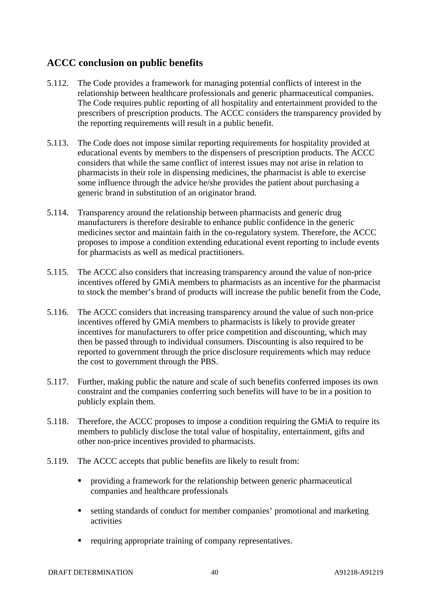### **ACCC conclusion on public benefits**

- 5.112. The Code provides a framework for managing potential conflicts of interest in the relationship between healthcare professionals and generic pharmaceutical companies. The Code requires public reporting of all hospitality and entertainment provided to the prescribers of prescription products. The ACCC considers the transparency provided by the reporting requirements will result in a public benefit.
- 5.113. The Code does not impose similar reporting requirements for hospitality provided at educational events by members to the dispensers of prescription products. The ACCC considers that while the same conflict of interest issues may not arise in relation to pharmacists in their role in dispensing medicines, the pharmacist is able to exercise some influence through the advice he/she provides the patient about purchasing a generic brand in substitution of an originator brand.
- 5.114. Transparency around the relationship between pharmacists and generic drug manufacturers is therefore desirable to enhance public confidence in the generic medicines sector and maintain faith in the co-regulatory system. Therefore, the ACCC proposes to impose a condition extending educational event reporting to include events for pharmacists as well as medical practitioners.
- 5.115. The ACCC also considers that increasing transparency around the value of non-price incentives offered by GMiA members to pharmacists as an incentive for the pharmacist to stock the member's brand of products will increase the public benefit from the Code,
- 5.116. The ACCC considers that increasing transparency around the value of such non-price incentives offered by GMiA members to pharmacists is likely to provide greater incentives for manufacturers to offer price competition and discounting, which may then be passed through to individual consumers. Discounting is also required to be reported to government through the price disclosure requirements which may reduce the cost to government through the PBS.
- 5.117. Further, making public the nature and scale of such benefits conferred imposes its own constraint and the companies conferring such benefits will have to be in a position to publicly explain them.
- 5.118. Therefore, the ACCC proposes to impose a condition requiring the GMiA to require its members to publicly disclose the total value of hospitality, entertainment, gifts and other non-price incentives provided to pharmacists.
- 5.119. The ACCC accepts that public benefits are likely to result from:
	- providing a framework for the relationship between generic pharmaceutical companies and healthcare professionals
	- setting standards of conduct for member companies' promotional and marketing activities
	- requiring appropriate training of company representatives.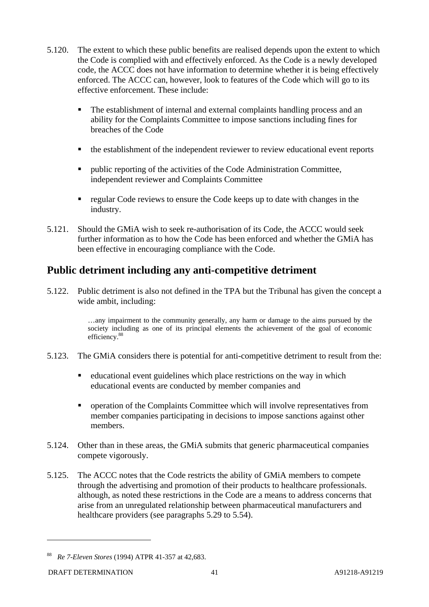- 5.120. The extent to which these public benefits are realised depends upon the extent to which the Code is complied with and effectively enforced. As the Code is a newly developed code, the ACCC does not have information to determine whether it is being effectively enforced. The ACCC can, however, look to features of the Code which will go to its effective enforcement. These include:
	- The establishment of internal and external complaints handling process and an ability for the Complaints Committee to impose sanctions including fines for breaches of the Code
	- the establishment of the independent reviewer to review educational event reports
	- **Public reporting of the activities of the Code Administration Committee,** independent reviewer and Complaints Committee
	- regular Code reviews to ensure the Code keeps up to date with changes in the industry.
- 5.121. Should the GMiA wish to seek re-authorisation of its Code, the ACCC would seek further information as to how the Code has been enforced and whether the GMiA has been effective in encouraging compliance with the Code.

# **Public detriment including any anti-competitive detriment**

5.122. Public detriment is also not defined in the TPA but the Tribunal has given the concept a wide ambit, including:

> …any impairment to the community generally, any harm or damage to the aims pursued by the society including as one of its principal elements the achievement of the goal of economic efficiency.<sup>88</sup>

- 5.123. The GMiA considers there is potential for anti-competitive detriment to result from the:
	- educational event guidelines which place restrictions on the way in which educational events are conducted by member companies and
	- **•** operation of the Complaints Committee which will involve representatives from member companies participating in decisions to impose sanctions against other members.
- 5.124. Other than in these areas, the GMiA submits that generic pharmaceutical companies compete vigorously.
- 5.125. The ACCC notes that the Code restricts the ability of GMiA members to compete through the advertising and promotion of their products to healthcare professionals. although, as noted these restrictions in the Code are a means to address concerns that arise from an unregulated relationship between pharmaceutical manufacturers and healthcare providers (see paragraphs 5.29 to 5.54).

<sup>88</sup> *Re 7-Eleven Stores* (1994) ATPR 41-357 at 42,683.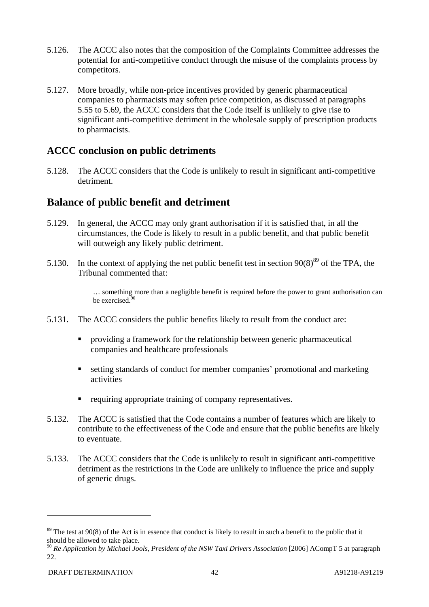- 5.126. The ACCC also notes that the composition of the Complaints Committee addresses the potential for anti-competitive conduct through the misuse of the complaints process by competitors.
- 5.127. More broadly, while non-price incentives provided by generic pharmaceutical companies to pharmacists may soften price competition, as discussed at paragraphs 5.55 to 5.69, the ACCC considers that the Code itself is unlikely to give rise to significant anti-competitive detriment in the wholesale supply of prescription products to pharmacists.

### **ACCC conclusion on public detriments**

5.128. The ACCC considers that the Code is unlikely to result in significant anti-competitive detriment.

### **Balance of public benefit and detriment**

- 5.129. In general, the ACCC may only grant authorisation if it is satisfied that, in all the circumstances, the Code is likely to result in a public benefit, and that public benefit will outweigh any likely public detriment.
- 5.130. In the context of applying the net public benefit test in section  $90(8)^{89}$  of the TPA, the Tribunal commented that:

… something more than a negligible benefit is required before the power to grant authorisation can be exercised<sup>3</sup>

- 5.131. The ACCC considers the public benefits likely to result from the conduct are:
	- providing a framework for the relationship between generic pharmaceutical companies and healthcare professionals
	- setting standards of conduct for member companies' promotional and marketing activities
	- requiring appropriate training of company representatives.
- 5.132. The ACCC is satisfied that the Code contains a number of features which are likely to contribute to the effectiveness of the Code and ensure that the public benefits are likely to eventuate.
- 5.133. The ACCC considers that the Code is unlikely to result in significant anti-competitive detriment as the restrictions in the Code are unlikely to influence the price and supply of generic drugs.

 $89$  The test at 90(8) of the Act is in essence that conduct is likely to result in such a benefit to the public that it should be allowed to take place.

<sup>90</sup> *Re Application by Michael Jools, President of the NSW Taxi Drivers Association* [2006] ACompT 5 at paragraph 22.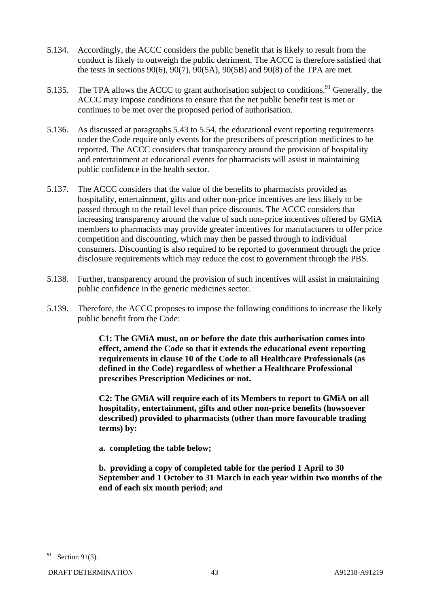- 5.134. Accordingly, the ACCC considers the public benefit that is likely to result from the conduct is likely to outweigh the public detriment. The ACCC is therefore satisfied that the tests in sections 90(6), 90(7), 90(5A), 90(5B) and 90(8) of the TPA are met.
- 5.135. The TPA allows the ACCC to grant authorisation subject to conditions.<sup>91</sup> Generally, the ACCC may impose conditions to ensure that the net public benefit test is met or continues to be met over the proposed period of authorisation.
- 5.136. As discussed at paragraphs 5.43 to 5.54, the educational event reporting requirements under the Code require only events for the prescribers of prescription medicines to be reported. The ACCC considers that transparency around the provision of hospitality and entertainment at educational events for pharmacists will assist in maintaining public confidence in the health sector.
- 5.137. The ACCC considers that the value of the benefits to pharmacists provided as hospitality, entertainment, gifts and other non-price incentives are less likely to be passed through to the retail level than price discounts. The ACCC considers that increasing transparency around the value of such non-price incentives offered by GMiA members to pharmacists may provide greater incentives for manufacturers to offer price competition and discounting, which may then be passed through to individual consumers. Discounting is also required to be reported to government through the price disclosure requirements which may reduce the cost to government through the PBS.
- 5.138. Further, transparency around the provision of such incentives will assist in maintaining public confidence in the generic medicines sector.
- 5.139. Therefore, the ACCC proposes to impose the following conditions to increase the likely public benefit from the Code:

**C1: The GMiA must, on or before the date this authorisation comes into effect, amend the Code so that it extends the educational event reporting requirements in clause 10 of the Code to all Healthcare Professionals (as defined in the Code) regardless of whether a Healthcare Professional prescribes Prescription Medicines or not.** 

**C2: The GMiA will require each of its Members to report to GMiA on all hospitality, entertainment, gifts and other non-price benefits (howsoever described) provided to pharmacists (other than more favourable trading terms) by:** 

**a. completing the table below;** 

**b. providing a copy of completed table for the period 1 April to 30 September and 1 October to 31 March in each year within two months of the end of each six month period; and** 

 $91$  Section 91(3).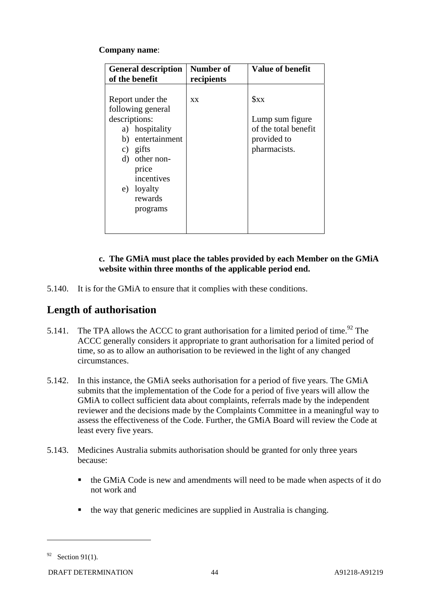#### **Company name**:

| <b>General description</b><br>of the benefit                                                                                                                                          | Number of<br>recipients | <b>Value of benefit</b>                                                            |
|---------------------------------------------------------------------------------------------------------------------------------------------------------------------------------------|-------------------------|------------------------------------------------------------------------------------|
| Report under the<br>following general<br>descriptions:<br>a) hospitality<br>b) entertainment<br>c) gifts<br>d) other non-<br>price<br>incentives<br>e) loyalty<br>rewards<br>programs | <b>XX</b>               | $S_{XX}$<br>Lump sum figure<br>of the total benefit<br>provided to<br>pharmacists. |

#### **c. The GMiA must place the tables provided by each Member on the GMiA website within three months of the applicable period end.**

5.140. It is for the GMiA to ensure that it complies with these conditions.

# **Length of authorisation**

- 5.141. The TPA allows the ACCC to grant authorisation for a limited period of time.<sup>92</sup> The ACCC generally considers it appropriate to grant authorisation for a limited period of time, so as to allow an authorisation to be reviewed in the light of any changed circumstances.
- 5.142. In this instance, the GMiA seeks authorisation for a period of five years. The GMiA submits that the implementation of the Code for a period of five years will allow the GMiA to collect sufficient data about complaints, referrals made by the independent reviewer and the decisions made by the Complaints Committee in a meaningful way to assess the effectiveness of the Code. Further, the GMiA Board will review the Code at least every five years.
- 5.143. Medicines Australia submits authorisation should be granted for only three years because:
	- the GMiA Code is new and amendments will need to be made when aspects of it do not work and
	- the way that generic medicines are supplied in Australia is changing.

 $92$  Section 91(1).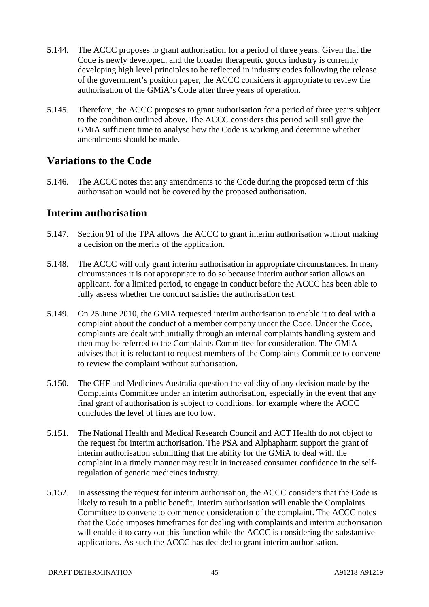- 5.144. The ACCC proposes to grant authorisation for a period of three years. Given that the Code is newly developed, and the broader therapeutic goods industry is currently developing high level principles to be reflected in industry codes following the release of the government's position paper, the ACCC considers it appropriate to review the authorisation of the GMiA's Code after three years of operation.
- 5.145. Therefore, the ACCC proposes to grant authorisation for a period of three years subject to the condition outlined above. The ACCC considers this period will still give the GMiA sufficient time to analyse how the Code is working and determine whether amendments should be made.

### **Variations to the Code**

5.146. The ACCC notes that any amendments to the Code during the proposed term of this authorisation would not be covered by the proposed authorisation.

### **Interim authorisation**

- 5.147. Section 91 of the TPA allows the ACCC to grant interim authorisation without making a decision on the merits of the application.
- 5.148. The ACCC will only grant interim authorisation in appropriate circumstances. In many circumstances it is not appropriate to do so because interim authorisation allows an applicant, for a limited period, to engage in conduct before the ACCC has been able to fully assess whether the conduct satisfies the authorisation test.
- 5.149. On 25 June 2010, the GMiA requested interim authorisation to enable it to deal with a complaint about the conduct of a member company under the Code. Under the Code, complaints are dealt with initially through an internal complaints handling system and then may be referred to the Complaints Committee for consideration. The GMiA advises that it is reluctant to request members of the Complaints Committee to convene to review the complaint without authorisation.
- 5.150. The CHF and Medicines Australia question the validity of any decision made by the Complaints Committee under an interim authorisation, especially in the event that any final grant of authorisation is subject to conditions, for example where the ACCC concludes the level of fines are too low.
- 5.151. The National Health and Medical Research Council and ACT Health do not object to the request for interim authorisation. The PSA and Alphapharm support the grant of interim authorisation submitting that the ability for the GMiA to deal with the complaint in a timely manner may result in increased consumer confidence in the selfregulation of generic medicines industry.
- 5.152. In assessing the request for interim authorisation, the ACCC considers that the Code is likely to result in a public benefit. Interim authorisation will enable the Complaints Committee to convene to commence consideration of the complaint. The ACCC notes that the Code imposes timeframes for dealing with complaints and interim authorisation will enable it to carry out this function while the ACCC is considering the substantive applications. As such the ACCC has decided to grant interim authorisation.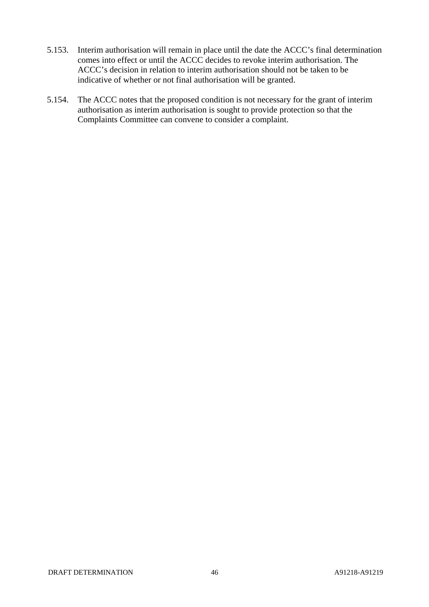- 5.153. Interim authorisation will remain in place until the date the ACCC's final determination comes into effect or until the ACCC decides to revoke interim authorisation. The ACCC's decision in relation to interim authorisation should not be taken to be indicative of whether or not final authorisation will be granted.
- 5.154. The ACCC notes that the proposed condition is not necessary for the grant of interim authorisation as interim authorisation is sought to provide protection so that the Complaints Committee can convene to consider a complaint.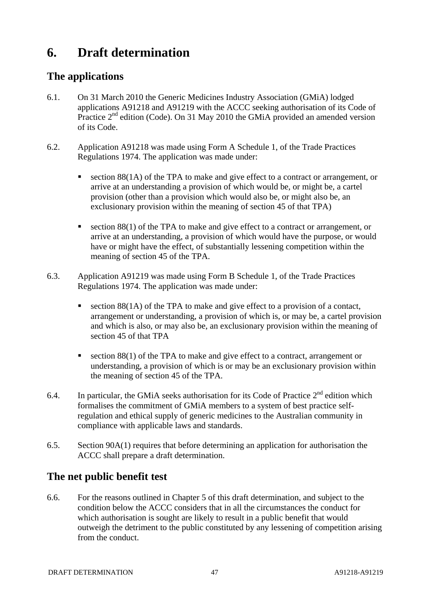# **6. Draft determination**

# **The applications**

- 6.1. On 31 March 2010 the Generic Medicines Industry Association (GMiA) lodged applications A91218 and A91219 with the ACCC seeking authorisation of its Code of Practice  $2<sup>nd</sup>$  edition (Code). On 31 May 2010 the GMiA provided an amended version of its Code.
- 6.2. Application A91218 was made using Form A Schedule 1, of the Trade Practices Regulations 1974. The application was made under:
	- section 88(1A) of the TPA to make and give effect to a contract or arrangement, or arrive at an understanding a provision of which would be, or might be, a cartel provision (other than a provision which would also be, or might also be, an exclusionary provision within the meaning of section 45 of that TPA)
	- section 88(1) of the TPA to make and give effect to a contract or arrangement, or arrive at an understanding, a provision of which would have the purpose, or would have or might have the effect, of substantially lessening competition within the meaning of section 45 of the TPA.
- 6.3. Application A91219 was made using Form B Schedule 1, of the Trade Practices Regulations 1974. The application was made under:
	- section  $8(1)$  of the TPA to make and give effect to a provision of a contact, arrangement or understanding, a provision of which is, or may be, a cartel provision and which is also, or may also be, an exclusionary provision within the meaning of section 45 of that TPA
	- section 88(1) of the TPA to make and give effect to a contract, arrangement or understanding, a provision of which is or may be an exclusionary provision within the meaning of section 45 of the TPA.
- 6.4. In particular, the GMiA seeks authorisation for its Code of Practice  $2^{nd}$  edition which formalises the commitment of GMiA members to a system of best practice selfregulation and ethical supply of generic medicines to the Australian community in compliance with applicable laws and standards.
- 6.5. Section 90A(1) requires that before determining an application for authorisation the ACCC shall prepare a draft determination.

# **The net public benefit test**

6.6. For the reasons outlined in Chapter 5 of this draft determination, and subject to the condition below the ACCC considers that in all the circumstances the conduct for which authorisation is sought are likely to result in a public benefit that would outweigh the detriment to the public constituted by any lessening of competition arising from the conduct.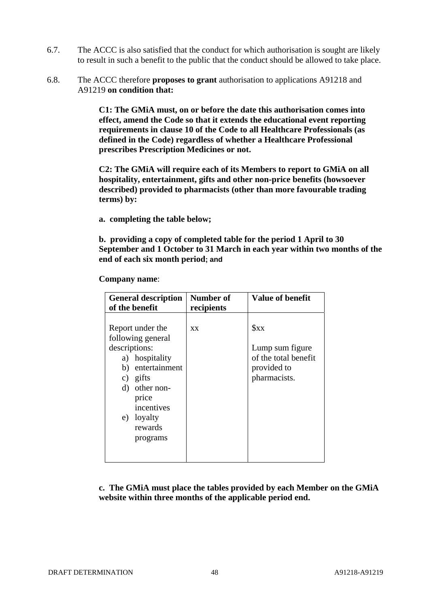- 6.7. The ACCC is also satisfied that the conduct for which authorisation is sought are likely to result in such a benefit to the public that the conduct should be allowed to take place.
- 6.8. The ACCC therefore **proposes to grant** authorisation to applications A91218 and A91219 **on condition that:**

**C1: The GMiA must, on or before the date this authorisation comes into effect, amend the Code so that it extends the educational event reporting requirements in clause 10 of the Code to all Healthcare Professionals (as defined in the Code) regardless of whether a Healthcare Professional prescribes Prescription Medicines or not.** 

**C2: The GMiA will require each of its Members to report to GMiA on all hospitality, entertainment, gifts and other non-price benefits (howsoever described) provided to pharmacists (other than more favourable trading terms) by:** 

**a. completing the table below;** 

**b. providing a copy of completed table for the period 1 April to 30 September and 1 October to 31 March in each year within two months of the end of each six month period; and** 

| <b>General description</b><br>of the benefit                                                                                                                                                  | Number of<br>recipients | <b>Value of benefit</b>                                                            |
|-----------------------------------------------------------------------------------------------------------------------------------------------------------------------------------------------|-------------------------|------------------------------------------------------------------------------------|
| Report under the<br>following general<br>descriptions:<br>a) hospitality<br>b) entertainment<br>c) gifts<br>other non-<br>$\rm d$<br>price<br>incentives<br>e) loyalty<br>rewards<br>programs | <b>XX</b>               | $S_{XX}$<br>Lump sum figure<br>of the total benefit<br>provided to<br>pharmacists. |

#### **c. The GMiA must place the tables provided by each Member on the GMiA website within three months of the applicable period end.**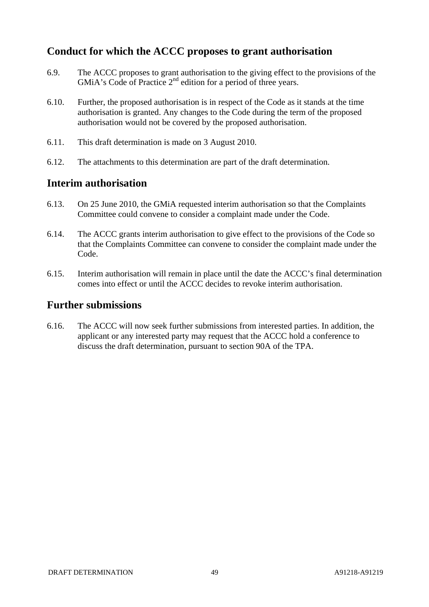# **Conduct for which the ACCC proposes to grant authorisation**

- 6.9. The ACCC proposes to grant authorisation to the giving effect to the provisions of the GMiA's Code of Practice 2<sup>nd</sup> edition for a period of three years.
- 6.10. Further, the proposed authorisation is in respect of the Code as it stands at the time authorisation is granted. Any changes to the Code during the term of the proposed authorisation would not be covered by the proposed authorisation.
- 6.11. This draft determination is made on 3 August 2010.
- 6.12. The attachments to this determination are part of the draft determination.

### **Interim authorisation**

- 6.13. On 25 June 2010, the GMiA requested interim authorisation so that the Complaints Committee could convene to consider a complaint made under the Code.
- 6.14. The ACCC grants interim authorisation to give effect to the provisions of the Code so that the Complaints Committee can convene to consider the complaint made under the Code.
- 6.15. Interim authorisation will remain in place until the date the ACCC's final determination comes into effect or until the ACCC decides to revoke interim authorisation.

### **Further submissions**

6.16. The ACCC will now seek further submissions from interested parties. In addition, the applicant or any interested party may request that the ACCC hold a conference to discuss the draft determination, pursuant to section 90A of the TPA.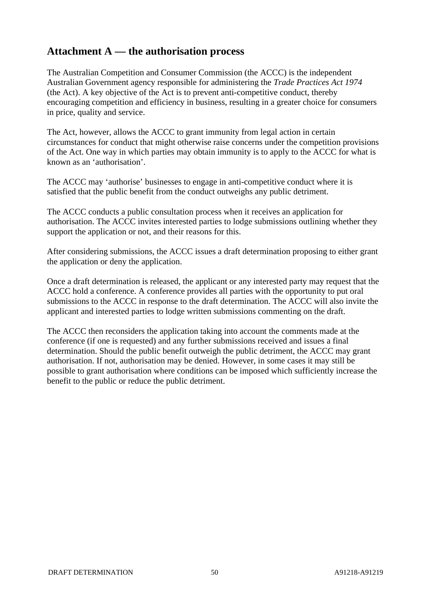# **Attachment A — the authorisation process**

The Australian Competition and Consumer Commission (the ACCC) is the independent Australian Government agency responsible for administering the *Trade Practices Act 1974*  (the Act). A key objective of the Act is to prevent anti-competitive conduct, thereby encouraging competition and efficiency in business, resulting in a greater choice for consumers in price, quality and service.

The Act, however, allows the ACCC to grant immunity from legal action in certain circumstances for conduct that might otherwise raise concerns under the competition provisions of the Act. One way in which parties may obtain immunity is to apply to the ACCC for what is known as an 'authorisation'.

The ACCC may 'authorise' businesses to engage in anti-competitive conduct where it is satisfied that the public benefit from the conduct outweighs any public detriment.

The ACCC conducts a public consultation process when it receives an application for authorisation. The ACCC invites interested parties to lodge submissions outlining whether they support the application or not, and their reasons for this.

After considering submissions, the ACCC issues a draft determination proposing to either grant the application or deny the application.

Once a draft determination is released, the applicant or any interested party may request that the ACCC hold a conference. A conference provides all parties with the opportunity to put oral submissions to the ACCC in response to the draft determination. The ACCC will also invite the applicant and interested parties to lodge written submissions commenting on the draft.

The ACCC then reconsiders the application taking into account the comments made at the conference (if one is requested) and any further submissions received and issues a final determination. Should the public benefit outweigh the public detriment, the ACCC may grant authorisation. If not, authorisation may be denied. However, in some cases it may still be possible to grant authorisation where conditions can be imposed which sufficiently increase the benefit to the public or reduce the public detriment.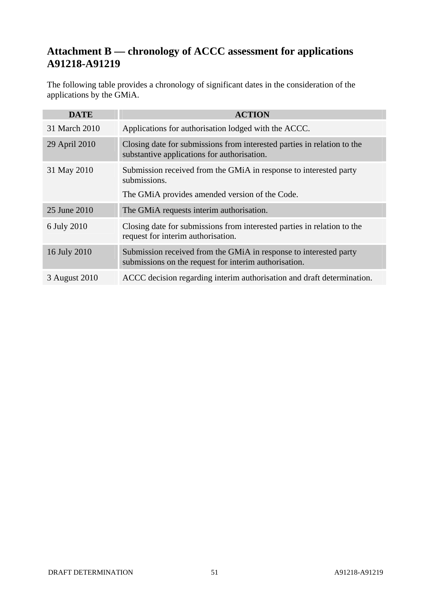# **Attachment B — chronology of ACCC assessment for applications A91218-A91219**

The following table provides a chronology of significant dates in the consideration of the applications by the GMiA.

| <b>DATE</b>   | <b>ACTION</b>                                                                                                              |
|---------------|----------------------------------------------------------------------------------------------------------------------------|
| 31 March 2010 | Applications for authorisation lodged with the ACCC.                                                                       |
| 29 April 2010 | Closing date for submissions from interested parties in relation to the<br>substantive applications for authorisation.     |
| 31 May 2010   | Submission received from the GMiA in response to interested party<br>submissions.                                          |
|               | The GMIA provides amended version of the Code.                                                                             |
| 25 June 2010  | The GMIA requests interim authorisation.                                                                                   |
| 6 July 2010   | Closing date for submissions from interested parties in relation to the<br>request for interim authorisation.              |
| 16 July 2010  | Submission received from the GMiA in response to interested party<br>submissions on the request for interim authorisation. |
| 3 August 2010 | ACCC decision regarding interim authorisation and draft determination.                                                     |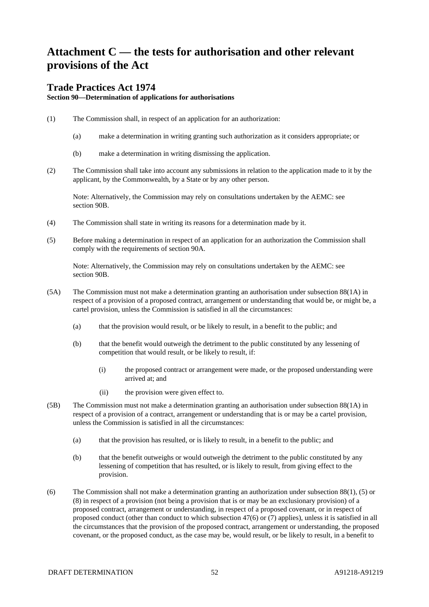# **Attachment C — the tests for authorisation and other relevant provisions of the Act**

#### **Trade Practices Act 1974**

**Section 90—Determination of applications for authorisations**

- (1) The Commission shall, in respect of an application for an authorization:
	- (a) make a determination in writing granting such authorization as it considers appropriate; or
	- (b) make a determination in writing dismissing the application.
- (2) The Commission shall take into account any submissions in relation to the application made to it by the applicant, by the Commonwealth, by a State or by any other person.

Note: Alternatively, the Commission may rely on consultations undertaken by the AEMC: see section 90B.

- (4) The Commission shall state in writing its reasons for a determination made by it.
- (5) Before making a determination in respect of an application for an authorization the Commission shall comply with the requirements of section 90A.

Note: Alternatively, the Commission may rely on consultations undertaken by the AEMC: see section 90B.

- (5A) The Commission must not make a determination granting an authorisation under subsection 88(1A) in respect of a provision of a proposed contract, arrangement or understanding that would be, or might be, a cartel provision, unless the Commission is satisfied in all the circumstances:
	- (a) that the provision would result, or be likely to result, in a benefit to the public; and
	- (b) that the benefit would outweigh the detriment to the public constituted by any lessening of competition that would result, or be likely to result, if:
		- (i) the proposed contract or arrangement were made, or the proposed understanding were arrived at; and
		- (ii) the provision were given effect to.
- (5B) The Commission must not make a determination granting an authorisation under subsection 88(1A) in respect of a provision of a contract, arrangement or understanding that is or may be a cartel provision, unless the Commission is satisfied in all the circumstances:
	- (a) that the provision has resulted, or is likely to result, in a benefit to the public; and
	- (b) that the benefit outweighs or would outweigh the detriment to the public constituted by any lessening of competition that has resulted, or is likely to result, from giving effect to the provision.
- (6) The Commission shall not make a determination granting an authorization under subsection 88(1), (5) or (8) in respect of a provision (not being a provision that is or may be an exclusionary provision) of a proposed contract, arrangement or understanding, in respect of a proposed covenant, or in respect of proposed conduct (other than conduct to which subsection 47(6) or (7) applies), unless it is satisfied in all the circumstances that the provision of the proposed contract, arrangement or understanding, the proposed covenant, or the proposed conduct, as the case may be, would result, or be likely to result, in a benefit to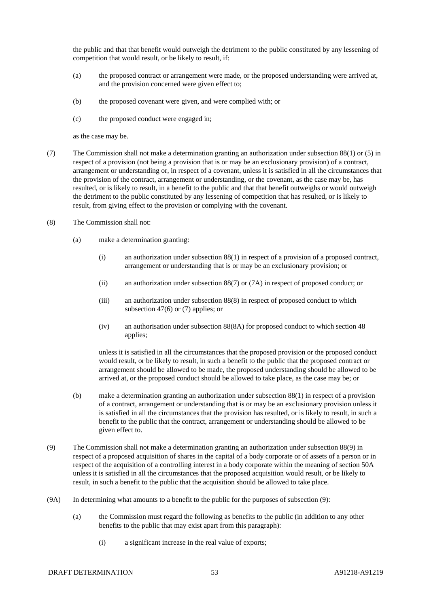the public and that that benefit would outweigh the detriment to the public constituted by any lessening of competition that would result, or be likely to result, if:

- (a) the proposed contract or arrangement were made, or the proposed understanding were arrived at, and the provision concerned were given effect to;
- (b) the proposed covenant were given, and were complied with; or
- (c) the proposed conduct were engaged in;

as the case may be.

- (7) The Commission shall not make a determination granting an authorization under subsection 88(1) or (5) in respect of a provision (not being a provision that is or may be an exclusionary provision) of a contract, arrangement or understanding or, in respect of a covenant, unless it is satisfied in all the circumstances that the provision of the contract, arrangement or understanding, or the covenant, as the case may be, has resulted, or is likely to result, in a benefit to the public and that that benefit outweighs or would outweigh the detriment to the public constituted by any lessening of competition that has resulted, or is likely to result, from giving effect to the provision or complying with the covenant.
- (8) The Commission shall not:
	- (a) make a determination granting:
		- (i) an authorization under subsection 88(1) in respect of a provision of a proposed contract, arrangement or understanding that is or may be an exclusionary provision; or
		- (ii) an authorization under subsection 88(7) or (7A) in respect of proposed conduct; or
		- (iii) an authorization under subsection 88(8) in respect of proposed conduct to which subsection 47(6) or (7) applies; or
		- (iv) an authorisation under subsection 88(8A) for proposed conduct to which section 48 applies;

unless it is satisfied in all the circumstances that the proposed provision or the proposed conduct would result, or be likely to result, in such a benefit to the public that the proposed contract or arrangement should be allowed to be made, the proposed understanding should be allowed to be arrived at, or the proposed conduct should be allowed to take place, as the case may be; or

- (b) make a determination granting an authorization under subsection 88(1) in respect of a provision of a contract, arrangement or understanding that is or may be an exclusionary provision unless it is satisfied in all the circumstances that the provision has resulted, or is likely to result, in such a benefit to the public that the contract, arrangement or understanding should be allowed to be given effect to.
- (9) The Commission shall not make a determination granting an authorization under subsection 88(9) in respect of a proposed acquisition of shares in the capital of a body corporate or of assets of a person or in respect of the acquisition of a controlling interest in a body corporate within the meaning of section 50A unless it is satisfied in all the circumstances that the proposed acquisition would result, or be likely to result, in such a benefit to the public that the acquisition should be allowed to take place.
- (9A) In determining what amounts to a benefit to the public for the purposes of subsection (9):
	- (a) the Commission must regard the following as benefits to the public (in addition to any other benefits to the public that may exist apart from this paragraph):
		- (i) a significant increase in the real value of exports;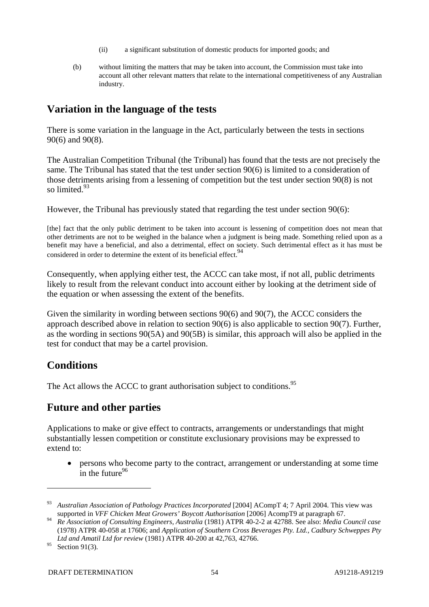- (ii) a significant substitution of domestic products for imported goods; and
- (b) without limiting the matters that may be taken into account, the Commission must take into account all other relevant matters that relate to the international competitiveness of any Australian industry.

# **Variation in the language of the tests**

There is some variation in the language in the Act, particularly between the tests in sections 90(6) and 90(8).

The Australian Competition Tribunal (the Tribunal) has found that the tests are not precisely the same. The Tribunal has stated that the test under section 90(6) is limited to a consideration of those detriments arising from a lessening of competition but the test under section 90(8) is not so limited.<sup>93</sup>

However, the Tribunal has previously stated that regarding the test under section 90(6):

[the] fact that the only public detriment to be taken into account is lessening of competition does not mean that other detriments are not to be weighed in the balance when a judgment is being made. Something relied upon as a benefit may have a beneficial, and also a detrimental, effect on society. Such detrimental effect as it has must be considered in order to determine the extent of its beneficial effect.<sup>94</sup>

Consequently, when applying either test, the ACCC can take most, if not all, public detriments likely to result from the relevant conduct into account either by looking at the detriment side of the equation or when assessing the extent of the benefits.

Given the similarity in wording between sections 90(6) and 90(7), the ACCC considers the approach described above in relation to section 90(6) is also applicable to section 90(7). Further, as the wording in sections 90(5A) and 90(5B) is similar, this approach will also be applied in the test for conduct that may be a cartel provision.

# **Conditions**

The Act allows the ACCC to grant authorisation subject to conditions.<sup>95</sup>

# **Future and other parties**

Applications to make or give effect to contracts, arrangements or understandings that might substantially lessen competition or constitute exclusionary provisions may be expressed to extend to:

• persons who become party to the contract, arrangement or understanding at some time  $\frac{1}{1}$  in the future<sup>96</sup>

<sup>93</sup> *Australian Association of Pathology Practices Incorporated* [2004] ACompT 4; 7 April 2004. This view was supported in *VFF Chicken Meat Growers' Boycott Authorisation* [2006] AcompT9 at paragraph 67.

<sup>94</sup> *Re Association of Consulting Engineers, Australia* (1981) ATPR 40-2-2 at 42788. See also: *Media Council case* (1978) ATPR 40-058 at 17606; and *Application of Southern Cross Beverages Pty. Ltd., Cadbury Schweppes Pty Ltd and Amatil Ltd for review* (1981) ATPR 40-200 at 42,763, 42766.

 $95$  Section 91(3).